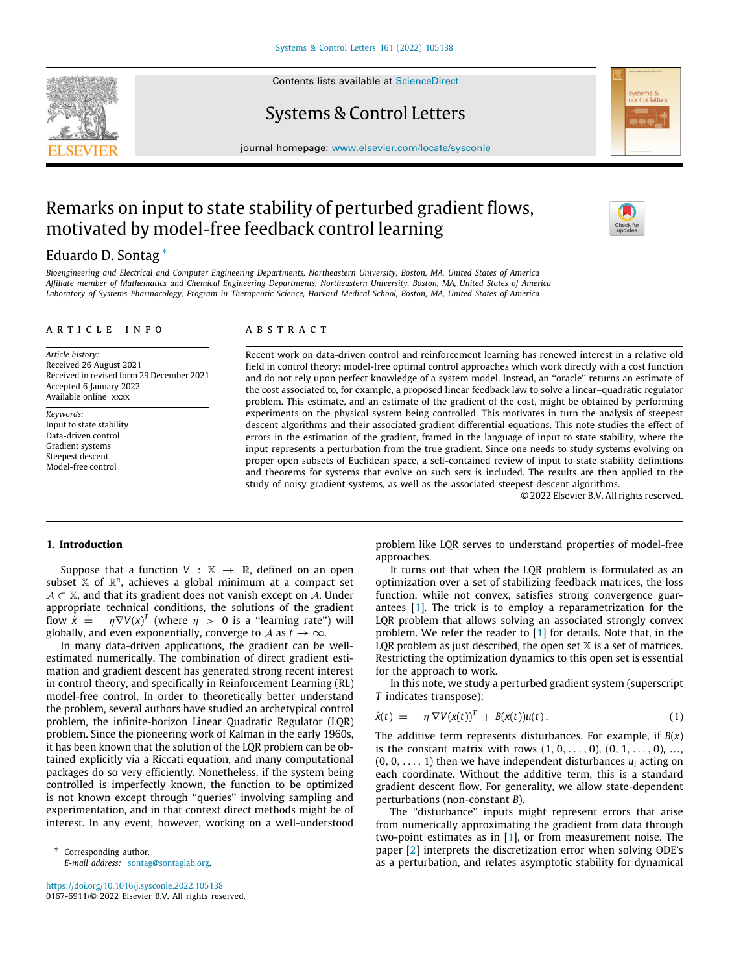Contents lists available at [ScienceDirect](http://www.elsevier.com/locate/sysconle)

# Systems & Control Letters

journal homepage: [www.elsevier.com/locate/sysconle](http://www.elsevier.com/locate/sysconle)

# Remarks on input to state stability of perturbed gradient flows, motivated by model-free feedback control learning

# Eduardo D. Sontag [∗](#page-0-0)

*Bioengineering and Electrical and Computer Engineering Departments, Northeastern University, Boston, MA, United States of America Affiliate member of Mathematics and Chemical Engineering Departments, Northeastern University, Boston, MA, United States of America Laboratory of Systems Pharmacology, Program in Therapeutic Science, Harvard Medical School, Boston, MA, United States of America*

#### a r t i c l e i n f o

*Article history:* Received 26 August 2021 Received in revised form 29 December 2021 Accepted 6 January 2022 Available online xxxx

*Keywords:* Input to state stability Data-driven control Gradient systems Steepest descent Model-free control

#### A B S T R A C T

Recent work on data-driven control and reinforcement learning has renewed interest in a relative old field in control theory: model-free optimal control approaches which work directly with a cost function and do not rely upon perfect knowledge of a system model. Instead, an ''oracle'' returns an estimate of the cost associated to, for example, a proposed linear feedback law to solve a linear–quadratic regulator problem. This estimate, and an estimate of the gradient of the cost, might be obtained by performing experiments on the physical system being controlled. This motivates in turn the analysis of steepest descent algorithms and their associated gradient differential equations. This note studies the effect of errors in the estimation of the gradient, framed in the language of input to state stability, where the input represents a perturbation from the true gradient. Since one needs to study systems evolving on proper open subsets of Euclidean space, a self-contained review of input to state stability definitions and theorems for systems that evolve on such sets is included. The results are then applied to the study of noisy gradient systems, as well as the associated steepest descent algorithms.

<span id="page-0-1"></span>© 2022 Elsevier B.V. All rights reserved.

#### **1. Introduction**

Suppose that a function  $V : \mathbb{X} \to \mathbb{R}$ , defined on an open subset  $X$  of  $\mathbb{R}^n$ , achieves a global minimum at a compact set  $A \subset \mathbb{X}$ , and that its gradient does not vanish except on A. Under appropriate technical conditions, the solutions of the gradient flow  $\dot{x} = -\eta \nabla V(x)^T$  (where  $\eta > 0$  is a "learning rate") will globally, and even exponentially, converge to *A* as  $t \to \infty$ .

In many data-driven applications, the gradient can be wellestimated numerically. The combination of direct gradient estimation and gradient descent has generated strong recent interest in control theory, and specifically in Reinforcement Learning (RL) model-free control. In order to theoretically better understand the problem, several authors have studied an archetypical control problem, the infinite-horizon Linear Quadratic Regulator (LQR) problem. Since the pioneering work of Kalman in the early 1960s, it has been known that the solution of the LQR problem can be obtained explicitly via a Riccati equation, and many computational packages do so very efficiently. Nonetheless, if the system being controlled is imperfectly known, the function to be optimized is not known except through ''queries'' involving sampling and experimentation, and in that context direct methods might be of interest. In any event, however, working on a well-understood

<span id="page-0-0"></span>Corresponding author. *E-mail address:* [sontag@sontaglab.org.](mailto:sontag@sontaglab.org)

<https://doi.org/10.1016/j.sysconle.2022.105138> 0167-6911/© 2022 Elsevier B.V. All rights reserved. problem like LQR serves to understand properties of model-free approaches.

It turns out that when the LQR problem is formulated as an optimization over a set of stabilizing feedback matrices, the loss function, while not convex, satisfies strong convergence guarantees [[1](#page-10-0)]. The trick is to employ a reparametrization for the LQR problem that allows solving an associated strongly convex problem. We refer the reader to [\[1\]](#page-10-0) for details. Note that, in the LQR problem as just described, the open set  $X$  is a set of matrices. Restricting the optimization dynamics to this open set is essential for the approach to work.

In this note, we study a perturbed gradient system (superscript *T* indicates transpose):

$$
\dot{x}(t) = -\eta \nabla V(x(t))^T + B(x(t))u(t).
$$
\n(1)

The additive term represents disturbances. For example, if *B*(*x*) is the constant matrix with rows  $(1, 0, \ldots, 0)$ ,  $(0, 1, \ldots, 0)$ , ...  $(0, 0, \ldots, 1)$  then we have independent disturbances  $u_i$  acting on each coordinate. Without the additive term, this is a standard gradient descent flow. For generality, we allow state-dependent perturbations (non-constant *B*).

The "disturbance" inputs might represent errors that arise from numerically approximating the gradient from data through two-point estimates as in [[1](#page-10-0)], or from measurement noise. The paper [[2\]](#page-10-1) interprets the discretization error when solving ODE's as a perturbation, and relates asymptotic stability for dynamical



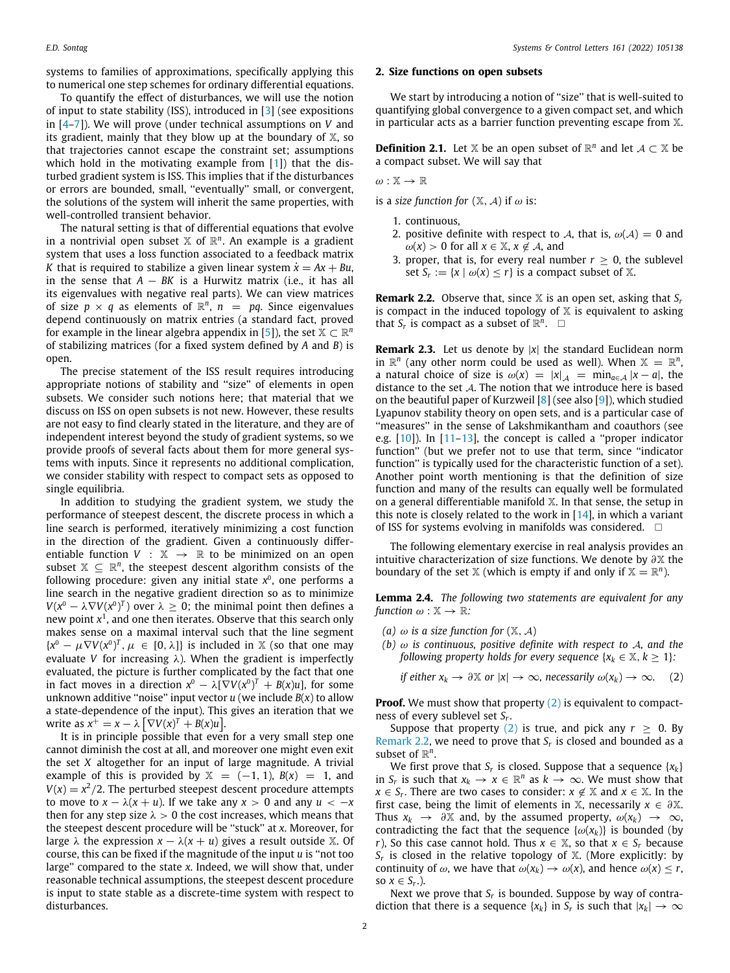systems to families of approximations, specifically applying this to numerical one step schemes for ordinary differential equations.

To quantify the effect of disturbances, we will use the notion of input to state stability (ISS), introduced in [\[3](#page-10-2)] (see expositions in [\[4–](#page-10-3)[7](#page-10-4)]). We will prove (under technical assumptions on *V* and its gradient, mainly that they blow up at the boundary of  $X$ , so that trajectories cannot escape the constraint set; assumptions which hold in the motivating example from [\[1\]](#page-10-0)) that the disturbed gradient system is ISS. This implies that if the disturbances or errors are bounded, small, ''eventually'' small, or convergent, the solutions of the system will inherit the same properties, with well-controlled transient behavior.

The natural setting is that of differential equations that evolve in a nontrivial open subset  $X$  of  $\mathbb{R}^n$ . An example is a gradient system that uses a loss function associated to a feedback matrix *K* that is required to stabilize a given linear system  $\dot{x} = Ax + Bu$ , in the sense that  $A - BK$  is a Hurwitz matrix (i.e., it has all its eigenvalues with negative real parts). We can view matrices of size  $p \times q$  as elements of  $\mathbb{R}^n$ ,  $n = pq$ . Since eigenvalues depend continuously on matrix entries (a standard fact, proved for example in the linear algebra appendix in [\[5](#page-10-5)]), the set  $\mathbb{X} \subset \mathbb{R}^n$ of stabilizing matrices (for a fixed system defined by *A* and *B*) is open.

The precise statement of the ISS result requires introducing appropriate notions of stability and ''size'' of elements in open subsets. We consider such notions here; that material that we discuss on ISS on open subsets is not new. However, these results are not easy to find clearly stated in the literature, and they are of independent interest beyond the study of gradient systems, so we provide proofs of several facts about them for more general systems with inputs. Since it represents no additional complication, we consider stability with respect to compact sets as opposed to single equilibria.

In addition to studying the gradient system, we study the performance of steepest descent, the discrete process in which a line search is performed, iteratively minimizing a cost function in the direction of the gradient. Given a continuously differentiable function  $V : \mathbb{X} \rightarrow \mathbb{R}$  to be minimized on an open subset  $X \subseteq \mathbb{R}^n$ , the steepest descent algorithm consists of the following procedure: given any initial state x<sup>0</sup>, one performs a line search in the negative gradient direction so as to minimize  $V(x^0 - \lambda \nabla V(x^0)^T)$  over  $\lambda \geq 0$ ; the minimal point then defines a new point *x* 1 , and one then iterates. Observe that this search only makes sense on a maximal interval such that the line segment  ${x^0 - \mu \nabla V(x^0)^T, \mu \in [0, \lambda]}$  is included in X (so that one may evaluate *V* for increasing  $\lambda$ ). When the gradient is imperfectly evaluated, the picture is further complicated by the fact that one in fact moves in a direction  $x^0 - \lambda [\nabla V(x^0)]^T + B(x)u$ , for some unknown additive "noise" input vector  $u$  (we include  $B(x)$  to allow a state-dependence of the input). This gives an iteration that we write as  $x^+ = x - \lambda \left[ \nabla V(x)^T + B(x)u \right]$ .

It is in principle possible that even for a very small step one cannot diminish the cost at all, and moreover one might even exit the set *X* altogether for an input of large magnitude. A trivial example of this is provided by  $X = (-1, 1)$ ,  $B(x) = 1$ , and  $V(x) = x^2/2$ . The perturbed steepest descent procedure attempts to move to  $x - \lambda(x + u)$ . If we take any  $x > 0$  and any  $u < -x$ then for any step size  $\lambda > 0$  the cost increases, which means that the steepest descent procedure will be ''stuck'' at *x*. Moreover, for large  $\lambda$  the expression  $x - \lambda(x + u)$  gives a result outside X. Of course, this can be fixed if the magnitude of the input *u* is ''not too large'' compared to the state *x*. Indeed, we will show that, under reasonable technical assumptions, the steepest descent procedure is input to state stable as a discrete-time system with respect to disturbances.

#### **2. Size functions on open subsets**

We start by introducing a notion of "size" that is well-suited to quantifying global convergence to a given compact set, and which in particular acts as a barrier function preventing escape from X.

**Definition 2.1.** Let  $X$  be an open subset of  $\mathbb{R}^n$  and let  $A \subset X$  be a compact subset. We will say that

#### $\omega: \mathbb{X} \to \mathbb{R}$

is a *size function for*  $(X, A)$  if  $\omega$  is:

- 1. continuous,
- 2. positive definite with respect to A, that is,  $\omega(A) = 0$  and  $\omega(x) > 0$  for all  $x \in \mathbb{X}, x \notin \mathcal{A}$ , and
- 3. proper, that is, for every real number  $r \geq 0$ , the sublevel set  $S_r := \{x \mid \omega(x) \leq r\}$  is a compact subset of X.

<span id="page-1-1"></span>**Remark 2.2.** Observe that, since  $X$  is an open set, asking that  $S_r$ is compact in the induced topology of  $X$  is equivalent to asking that  $S_r$  is compact as a subset of  $\mathbb{R}^n$ .  $\Box$ 

**Remark 2.3.** Let us denote by |*x*| the standard Euclidean norm in  $\mathbb{R}^n$  (any other norm could be used as well). When  $\mathbb{X} = \mathbb{R}^n$ , a natural choice of size is  $\omega(x) = |x|_A = \min_{a \in A} |x - a|$ , the distance to the set A. The notion that we introduce here is based on the beautiful paper of Kurzweil [[8](#page-10-6)] (see also [[9\]](#page-10-7)), which studied Lyapunov stability theory on open sets, and is a particular case of "measures" in the sense of Lakshmikantham and coauthors (see e.g.  $[10]$ ). In  $[11-13]$  $[11-13]$  $[11-13]$ , the concept is called a "proper indicator function'' (but we prefer not to use that term, since ''indicator function'' is typically used for the characteristic function of a set). Another point worth mentioning is that the definition of size function and many of the results can equally well be formulated on a general differentiable manifold X. In that sense, the setup in this note is closely related to the work in  $[14]$  $[14]$  $[14]$ , in which a variant of ISS for systems evolving in manifolds was considered.  $\Box$ 

The following elementary exercise in real analysis provides an intuitive characterization of size functions. We denote by  $\partial X$  the boundary of the set  $X$  (which is empty if and only if  $X = \mathbb{R}^n$ ).

**Lemma 2.4.** *The following two statements are equivalent for any function*  $\omega : \mathbb{X} \to \mathbb{R}$ :

- *(a)*  $\omega$  *is a size function for*  $(\mathbb{X}, \mathcal{A})$
- *(b)* ω *is continuous, positive definite with respect to* A*, and the following property holds for every sequence*  $\{x_k \in \mathbb{X}, k \geq 1\}$ :

<span id="page-1-0"></span>*if either*  $x_k \to \partial X$  *or*  $|x| \to \infty$ *, necessarily*  $\omega(x_k) \to \infty$ . (2)

**Proof.** We must show that property ([2\)](#page-1-0) is equivalent to compactness of every sublevel set *S<sup>r</sup>* .

Suppose that property ([2](#page-1-0)) is true, and pick any  $r \geq 0$ . By [Remark](#page-1-1) [2.2](#page-1-1), we need to prove that *S<sup>r</sup>* is closed and bounded as a subset of  $\mathbb{R}^n$ .

We first prove that  $S_r$  is closed. Suppose that a sequence  $\{x_k\}$ in *S<sub><i>r*</sub> is such that  $x_k \to x \in \mathbb{R}^n$  as  $k \to \infty$ . We must show that  $x \in S_r$ . There are two cases to consider:  $x \notin \mathbb{X}$  and  $x \in \mathbb{X}$ . In the first case, being the limit of elements in  $X$ , necessarily  $x \in \partial X$ . Thus  $x_k \to \partial X$  and, by the assumed property,  $\omega(x_k) \to \infty$ , contradicting the fact that the sequence  $\{\omega(x_k)\}\)$  is bounded (by *r*), So this case cannot hold. Thus  $x \in \mathbb{X}$ , so that  $x \in S_r$  because  $S_r$  is closed in the relative topology of  $X$ . (More explicitly: by continuity of  $\omega$ , we have that  $\omega(x_k) \to \omega(x)$ , and hence  $\omega(x) \le r$ , so  $x \in S_r$ .).

Next we prove that  $S_r$  is bounded. Suppose by way of contradiction that there is a sequence  $\{x_k\}$  in  $S_r$  is such that  $|x_k| \to \infty$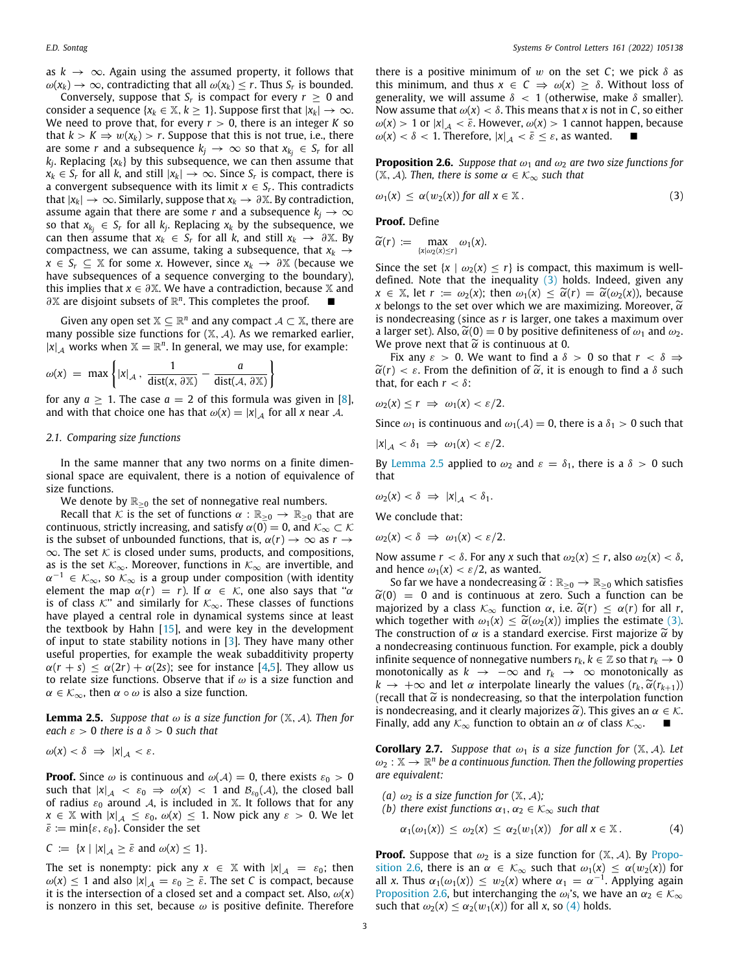as  $k \to \infty$ . Again using the assumed property, it follows that  $\omega(x_k) \to \infty$ , contradicting that all  $\omega(x_k) \leq r$ . Thus  $S_r$  is bounded.

Conversely, suppose that  $S_r$  is compact for every  $r \geq 0$  and consider a sequence { $x_k \in \mathbb{X}, k \geq 1$ }. Suppose first that  $|x_k| \to \infty$ . We need to prove that, for every  $r > 0$ , there is an integer *K* so that  $k > K \Rightarrow w(x_k) > r$ . Suppose that this is not true, i.e., there are some *r* and a subsequence  $k_j \to \infty$  so that  $x_{k_j} \in S_r$  for all *kj* . Replacing {*xk*} by this subsequence, we can then assume that *x*<sup>*k*</sup> ∈ *S<sub><i>r*</sub> for all *k*, and still  $|x_k|$  → ∞. Since *S<sub><i>r*</sub> is compact, there is a convergent subsequence with its limit  $x \in S_r$ . This contradicts that  $|x_k|$  → ∞. Similarly, suppose that  $x_k$  →  $\partial$  X. By contradiction, assume again that there are some *r* and a subsequence  $k_j \to \infty$ so that  $x_{k_j} \in S_r$  for all  $k_j$ . Replacing  $x_k$  by the subsequence, we  $\int$  can then assume that  $x_k \in S_r$  for all *k*, and still  $x_k \to \partial X$ . By compactness, we can assume, taking a subsequence, that  $x_k \rightarrow$ *x* ∈ *S*<sup>*r*</sup> ⊆  $\mathbb{X}$  for some *x*. However, since  $x_k$  → ∂ $\mathbb{X}$  (because we have subsequences of a sequence converging to the boundary), this implies that  $x \in \partial X$ . We have a contradiction, because X and ∂<sup>X</sup> are disjoint subsets of  $\mathbb{R}^n$ . This completes the proof. ■

Given any open set  $\mathbb{X} \subseteq \mathbb{R}^n$  and any compact  $\mathcal{A} \subset \mathbb{X}$ , there are many possible size functions for  $(X, \mathcal{A})$ . As we remarked earlier,  $|x|_{\mathcal{A}}$  works when  $\mathbb{X} = \mathbb{R}^n$ . In general, we may use, for example:

$$
\omega(x) = \max \left\{ |x|_{\mathcal{A}}, \frac{1}{\text{dist}(x, \partial \mathbb{X})} - \frac{a}{\text{dist}(\mathcal{A}, \partial \mathbb{X})} \right\}
$$

for any  $a \ge 1$ . The case  $a = 2$  of this formula was given in [[8\]](#page-10-6), and with that choice one has that  $\omega(x) = |x|_A$  for all *x* near *A*.

#### *2.1. Comparing size functions*

In the same manner that any two norms on a finite dimensional space are equivalent, there is a notion of equivalence of size functions.

We denote by  $\mathbb{R}_{>0}$  the set of nonnegative real numbers.

Recall that K is the set of functions  $\alpha : \mathbb{R}_{>0} \to \mathbb{R}_{>0}$  that are continuous, strictly increasing, and satisfy  $\alpha(0) = 0$ , and  $\mathcal{K}_{\infty} \subset \mathcal{K}$ is the subset of unbounded functions, that is,  $\alpha(r) \rightarrow \infty$  as  $r \rightarrow$  $\infty$ . The set  $\kappa$  is closed under sums, products, and compositions, as is the set  $K_{\infty}$ . Moreover, functions in  $K_{\infty}$  are invertible, and  $\alpha^{-1} \in \mathcal{K}_{\infty}$ , so  $\mathcal{K}_{\infty}$  is a group under composition (with identity element the map  $\alpha(r) = r$ ). If  $\alpha \in \mathcal{K}$ , one also says that " $\alpha$ is of class  $K''$  and similarly for  $K_{\infty}$ . These classes of functions have played a central role in dynamical systems since at least the textbook by Hahn [[15](#page-10-12)], and were key in the development of input to state stability notions in [\[3](#page-10-2)]. They have many other useful properties, for example the weak subadditivity property  $\alpha(r + s) \leq \alpha(2r) + \alpha(2s)$ ; see for instance [[4](#page-10-3)[,5](#page-10-5)]. They allow us to relate size functions. Observe that if  $\omega$  is a size function and  $\alpha \in \mathcal{K}_{\infty}$ , then  $\alpha \circ \omega$  is also a size function.

<span id="page-2-1"></span>**Lemma 2.5.** *Suppose that*  $\omega$  *is a size function for* ( $\mathbb{X}, \mathcal{A}$ )*. Then for each*  $\varepsilon > 0$  *there is a*  $\delta > 0$  *such that* 

$$
\omega(x) < \delta \Rightarrow |x|_{\mathcal{A}} < \varepsilon.
$$

**Proof.** Since  $\omega$  is continuous and  $\omega(\mathcal{A}) = 0$ , there exists  $\varepsilon_0 > 0$ such that  $|x|_{\mathcal{A}} \prec \varepsilon_0 \Rightarrow \omega(x) \prec 1$  and  $\mathcal{B}_{\varepsilon_0}(\mathcal{A})$ , the closed ball of radius  $\varepsilon_0$  around A, is included in X. It follows that for any  $x \in \mathbb{X}$  with  $|x|_A \leq \varepsilon_0$ ,  $\omega(x) \leq 1$ . Now pick any  $\varepsilon > 0$ . We let  $\bar{\varepsilon} := \min\{\varepsilon, \varepsilon_0\}.$  Consider the set

$$
C := \{x \mid |x|_{\mathcal{A}} \geq \bar{\varepsilon} \text{ and } \omega(x) \leq 1\}.
$$

The set is nonempty: pick any  $x \in \mathbb{X}$  with  $|x|_{\mathcal{A}} = \varepsilon_0$ ; then  $\omega(x) \leq 1$  and also  $|x|_{\mathcal{A}} = \varepsilon_0 \geq \bar{\varepsilon}$ . The set *C* is compact, because it is the intersection of a closed set and a compact set. Also,  $\omega(x)$ is nonzero in this set, because  $\omega$  is positive definite. Therefore there is a positive minimum of w on the set *C*; we pick  $\delta$  as this minimum, and thus  $x \in C \implies \omega(x) \geq \delta$ . Without loss of generality, we will assume  $\delta$  < 1 (otherwise, make  $\delta$  smaller). Now assume that  $\omega(x) < \delta$ . This means that *x* is not in *C*, so either  $\omega(x) > 1$  or  $|x|_{\mathcal{A}} < \bar{\varepsilon}$ . However,  $\omega(x) > 1$  cannot happen, because  $\omega(x) < \delta < 1$ . Therefore,  $|x|_{\mathcal{A}} < \bar{\varepsilon} \leq \varepsilon$ , as wanted.

<span id="page-2-2"></span>**Proposition 2.6.** *Suppose that*  $\omega_1$  *and*  $\omega_2$  *are two size functions for*  $(\mathbb{X}, \mathcal{A})$ *. Then, there is some*  $\alpha \in \mathcal{K}_{\infty}$  *such that* 

$$
\omega_1(x) \leq \alpha(w_2(x)) \text{ for all } x \in \mathbb{X}. \tag{3}
$$

<span id="page-2-0"></span>**Proof.** Define

$$
\widetilde{\alpha}(r) := \max_{\{x|\omega_2(x)\leq r\}} \omega_1(x).
$$

Since the set  $\{x \mid \omega_2(x) \leq r\}$  is compact, this maximum is welldefined. Note that the inequality  $(3)$  $(3)$  holds. Indeed, given any  $x \in \mathbb{X}$ , let  $r := \omega_2(x)$ ; then  $\omega_1(x) \leq \tilde{\alpha}(r) = \tilde{\alpha}(\omega_2(x))$ , because *x* belongs to the set over which we are maximizing. Moreover,  $\widetilde{\alpha}$ is nondecreasing (since as *r* is larger, one takes a maximum over a larger set). Also,  $\tilde{\alpha}(0) = 0$  by positive definiteness of  $\omega_1$  and  $\omega_2$ . We prove next that  $\widetilde{\alpha}$  is continuous at 0.

Fix any  $\varepsilon > 0$ . We want to find a  $\delta > 0$  so that  $r < \delta \Rightarrow$  $\tilde{\alpha}(r) < \varepsilon$ . From the definition of  $\tilde{\alpha}$ , it is enough to find a  $\delta$  such that, for each  $r < \delta$ :

$$
\omega_2(x) \le r \implies \omega_1(x) < \varepsilon/2.
$$

Since  $\omega_1$  is continuous and  $\omega_1(A) = 0$ , there is a  $\delta_1 > 0$  such that

$$
|x|_{\mathcal{A}} \, < \delta_1 \; \Rightarrow \; \omega_1(x) < \varepsilon/2.
$$

By [Lemma](#page-2-1) [2.5](#page-2-1) applied to  $\omega_2$  and  $\varepsilon = \delta_1$ , there is a  $\delta > 0$  such that

$$
\omega_2(x) < \delta \ \Rightarrow \ |x|_{\mathcal{A}} < \delta_1.
$$

We conclude that:

$$
\omega_2(x) < \delta \implies \omega_1(x) < \varepsilon/2.
$$

Now assume  $r < \delta$ . For any *x* such that  $\omega_2(x) \le r$ , also  $\omega_2(x) < \delta$ , and hence  $\omega_1(x) < \varepsilon/2$ , as wanted.

So far we have a nondecreasing  $\widetilde{\alpha}: \mathbb{R}_{\geq 0} \to \mathbb{R}_{\geq 0}$  which satisfies  $\tilde{\alpha}(0) = 0$  and is continuous at zero. Such a function can be majorized by a class  $\mathcal{K}_{\infty}$  function  $\alpha$ , i.e.  $\widetilde{\alpha}(r) \leq \alpha(r)$  for all *r*, which together with  $\omega_1(x) \leq \tilde{\alpha}(\omega_2(x))$  implies the estimate ([3\)](#page-2-0). The construction of  $\alpha$  is a standard exercise. First majorize  $\tilde{\alpha}$  by a nondecreasing continuous function. For example, pick a doubly infinite sequence of nonnegative numbers  $r_k$ ,  $k \in \mathbb{Z}$  so that  $r_k \to 0$ monotonically as  $k \rightarrow -\infty$  and  $r_k \rightarrow \infty$  monotonically as  $k \rightarrow +\infty$  and let  $\alpha$  interpolate linearly the values  $(r_k, \widetilde{\alpha}(r_{k+1}))$ (recall that  $\tilde{\alpha}$  is nondecreasing, so that the interpolation function is nondecreasing, and it clearly majorizes  $\widetilde{\alpha}$ ). This gives an  $\alpha \in \mathcal{K}$ . Finally, add any  $K_{\infty}$  function to obtain an  $\alpha$  of class  $K_{\infty}$ .

<span id="page-2-4"></span>**Corollary 2.7.** *Suppose that*  $\omega_1$  *is a size function for*  $(\mathbb{X}, \mathcal{A})$ *. Let*  $\omega_2 : \mathbb{X} \to \mathbb{R}^n$  be a continuous function. Then the following properties *are equivalent:*

- *(a)*  $\omega_2$  *is a size function for*  $(\mathbb{X}, \mathcal{A})$ *;*
- *(b) there exist functions*  $\alpha_1, \alpha_2 \in \mathcal{K}_{\infty}$  *such that*

<span id="page-2-3"></span>
$$
\alpha_1(\omega_1(x)) \leq \omega_2(x) \leq \alpha_2(w_1(x)) \quad \text{for all } x \in \mathbb{X} \,.
$$
 (4)

**Proof.** Suppose that  $\omega_2$  is a size function for  $(\mathbb{X}, \mathcal{A})$ . By [Propo](#page-2-2)[sition](#page-2-2) [2.6](#page-2-2), there is an  $\alpha \in \mathcal{K}_{\infty}$  such that  $\omega_1(x) \leq \alpha(w_2(x))$  for all *x*. Thus  $\alpha_1(\omega_1(x)) \leq w_2(x)$  where  $\alpha_1 = \alpha^{-1}$ . Applying again [Proposition](#page-2-2) [2.6,](#page-2-2) but interchanging the  $\omega_i$ 's, we have an  $\alpha_2 \in \mathcal{K}_{\infty}$ such that  $\omega_2(x) \leq \alpha_2(w_1(x))$  for all *x*, so [\(4](#page-2-3)) holds.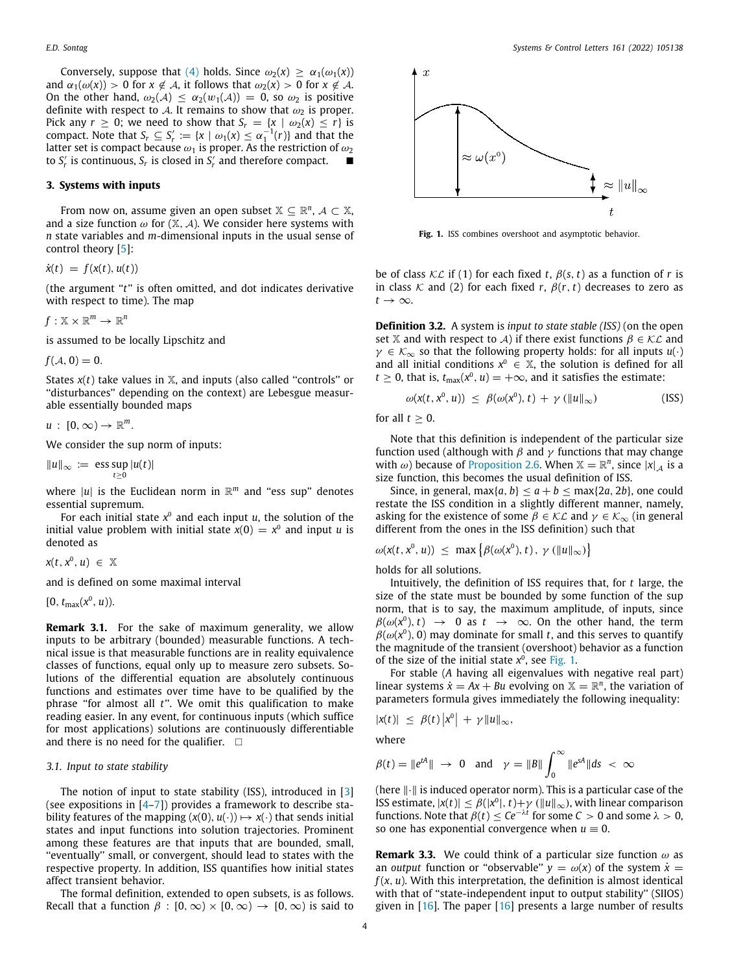Conversely, suppose that [\(4](#page-2-3)) holds. Since  $\omega_2(x) > \alpha_1(\omega_1(x))$ and  $\alpha_1(\omega(x)) > 0$  for  $x \notin A$ , it follows that  $\omega_2(x) > 0$  for  $x \notin A$ . On the other hand,  $\omega_2(\mathcal{A}) \leq \alpha_2(w_1(\mathcal{A})) = 0$ , so  $\omega_2$  is positive definite with respect to A. It remains to show that  $\omega_2$  is proper. Pick any  $r \geq 0$ ; we need to show that  $S_r = \{x \mid \omega_2(x) \leq r\}$  is compact. Note that  $S_r \subseteq S'_r := \{x \mid \omega_1(x) \leq \alpha_1^{-1}(r)\}$  and that the latter set is compact because  $\omega_1$  is proper. As the restriction of  $\omega_2$ to  $S'_r$  is continuous,  $S_r$  is closed in  $S'_r$  and therefore compact.  $\blacksquare$ 

## **3. Systems with inputs**

From now on, assume given an open subset  $\mathbb{X} \subseteq \mathbb{R}^n$ ,  $\mathcal{A} \subset \mathbb{X}$ , and a size function  $\omega$  for  $(X, \mathcal{A})$ . We consider here systems with *n* state variables and *m*-dimensional inputs in the usual sense of control theory [[5](#page-10-5)]:

 $\dot{x}(t) = f(x(t), u(t))$ 

(the argument ''*t*'' is often omitted, and dot indicates derivative with respect to time). The map

$$
f:\mathbb{X}\times\mathbb{R}^m\to\mathbb{R}^n
$$

is assumed to be locally Lipschitz and

 $f(A, 0) = 0.$ 

States  $x(t)$  take values in  $X$ , and inputs (also called "controls" or ''disturbances'' depending on the context) are Lebesgue measurable essentially bounded maps

 $u: [0, \infty) \to \mathbb{R}^m$ .

We consider the sup norm of inputs:

 $||u||_{\infty}$  := ess sup |*u*(*t*)|

where  $|u|$  is the Euclidean norm in  $\mathbb{R}^m$  and "ess sup" denotes essential supremum.

For each initial state  $x^{\scriptscriptstyle 0}$  and each input *u*, the solution of the initial value problem with initial state  $x(0) = x^0$  and input *u* is denoted as

 $x(t, x^0, u) \in \mathbb{X}$ 

and is defined on some maximal interval

 $[0, t_{\max}(x^0, u)).$ 

**Remark 3.1.** For the sake of maximum generality, we allow inputs to be arbitrary (bounded) measurable functions. A technical issue is that measurable functions are in reality equivalence classes of functions, equal only up to measure zero subsets. Solutions of the differential equation are absolutely continuous functions and estimates over time have to be qualified by the phrase ''for almost all *t*''. We omit this qualification to make reading easier. In any event, for continuous inputs (which suffice for most applications) solutions are continuously differentiable and there is no need for the qualifier.  $\square$ 

#### *3.1. Input to state stability*

The notion of input to state stability (ISS), introduced in [[3\]](#page-10-2) (see expositions in  $[4-7]$  $[4-7]$  $[4-7]$ ) provides a framework to describe stability features of the mapping  $(x(0), u(\cdot)) \mapsto x(\cdot)$  that sends initial states and input functions into solution trajectories. Prominent among these features are that inputs that are bounded, small, ''eventually'' small, or convergent, should lead to states with the respective property. In addition, ISS quantifies how initial states affect transient behavior.

The formal definition, extended to open subsets, is as follows. Recall that a function  $\beta : [0, \infty) \times [0, \infty) \rightarrow [0, \infty)$  is said to



<span id="page-3-0"></span>**Fig. 1.** ISS combines overshoot and asymptotic behavior.

be of class  $K\mathcal{L}$  if (1) for each fixed *t*,  $\beta(s, t)$  as a function of *r* is in class  $K$  and (2) for each fixed  $r$ ,  $\beta(r, t)$  decreases to zero as  $t \rightarrow \infty$ .

**Definition 3.2.** A system is *input to state stable (ISS)* (on the open set X and with respect to A) if there exist functions  $\beta \in \mathcal{KL}$  and  $\gamma \in \mathcal{K}_{\infty}$  so that the following property holds: for all inputs  $u(\cdot)$ and all initial conditions  $x^0 \in \mathbb{X}$ , the solution is defined for all  $t \geq 0$ , that is,  $t_{\text{max}}(x^0, u) = +\infty$ , and it satisfies the estimate:

$$
\omega(x(t, x^0, u)) \leq \beta(\omega(x^0), t) + \gamma (\|u\|_{\infty})
$$
 (ISS)

for all  $t \geq 0$ .

Note that this definition is independent of the particular size function used (although with  $\beta$  and  $\gamma$  functions that may change with  $\omega$ ) because of [Proposition](#page-2-2) [2.6](#page-2-2). When  $\mathbb{X} = \mathbb{R}^n$ , since  $|x|_{\mathcal{A}}$  is a size function, this becomes the usual definition of ISS.

Since, in general,  $\max\{a, b\} \le a + b \le \max\{2a, 2b\}$ , one could restate the ISS condition in a slightly different manner, namely, asking for the existence of some  $\beta \in \mathcal{KL}$  and  $\gamma \in \mathcal{K}_{\infty}$  (in general different from the ones in the ISS definition) such that

$$
\omega(x(t, x^0, u)) \leq \max \{ \beta(\omega(x^0), t), \gamma(\|u\|_{\infty}) \}
$$

holds for all solutions.

Intuitively, the definition of ISS requires that, for *t* large, the size of the state must be bounded by some function of the sup norm, that is to say, the maximum amplitude, of inputs, since  $\beta(\omega(x^0), t) \rightarrow 0$  as  $t \rightarrow \infty$ . On the other hand, the term  $\beta(\omega(x^0), 0)$  may dominate for small *t*, and this serves to quantify the magnitude of the transient (overshoot) behavior as a function of the size of the initial state  $x^0$ , see [Fig.](#page-3-0) [1](#page-3-0).

For stable (*A* having all eigenvalues with negative real part) linear systems  $\dot{x} = Ax + Bu$  evolving on  $\mathbb{X} = \mathbb{R}^n$ , the variation of parameters formula gives immediately the following inequality:

$$
|x(t)| \leq \beta(t) |x^0| + \gamma \|u\|_{\infty},
$$

where

$$
\beta(t) = \|e^{tA}\| \rightarrow 0 \text{ and } \gamma = \|B\| \int_0^\infty \|e^{sA}\|ds < \infty
$$

(here ∥·∥ is induced operator norm). This is a particular case of the ISS estimate,  $|x(t)| \leq \beta(|x^0|, t) + \gamma$  ( $||u||_{\infty}$ ), with linear comparison functions. Note that  $\beta(t) \leq Ce^{-\lambda t}$  for some  $C > 0$  and some  $\lambda > 0$ , so one has exponential convergence when  $u \equiv 0$ .

**Remark 3.3.** We could think of a particular size function  $\omega$  as an *output* function or "observable"  $y = \omega(x)$  of the system  $\dot{x} =$  $f(x, u)$ . With this interpretation, the definition is almost identical with that of "state-independent input to output stability" (SIIOS) given in [\[16\]](#page-10-13). The paper [\[16\]](#page-10-13) presents a large number of results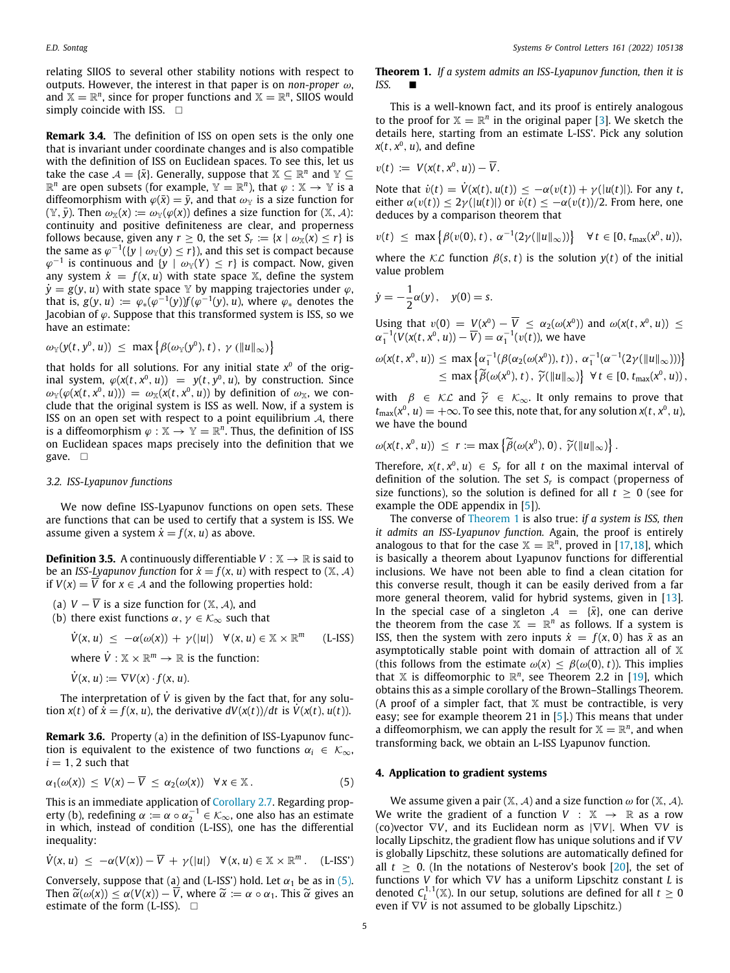relating SIIOS to several other stability notions with respect to outputs. However, the interest in that paper is on *non-proper* ω, and  $X = \mathbb{R}^n$ , since for proper functions and  $X = \mathbb{R}^n$ , SIIOS would simply coincide with ISS.  $\square$ 

<span id="page-4-2"></span>**Remark 3.4.** The definition of ISS on open sets is the only one that is invariant under coordinate changes and is also compatible with the definition of ISS on Euclidean spaces. To see this, let us take the case  $\mathcal{A} = \{\bar{x}\}\$ . Generally, suppose that  $\mathbb{X} \subseteq \mathbb{R}^n$  and  $\mathbb{Y} \subseteq$  $\mathbb{R}^n$  are open subsets (for example,  $\mathbb{Y} = \mathbb{R}^n$ ), that  $\varphi : \mathbb{X} \to \mathbb{Y}$  is a diffeomorphism with  $\varphi(\bar{x}) = \bar{y}$ , and that  $\omega_{\Psi}$  is a size function for  $(\mathbb{Y}, \bar{y})$ . Then  $\omega_{\mathbb{X}}(x) := \omega_{\mathbb{Y}}(\varphi(x))$  defines a size function for  $(\mathbb{X}, \mathcal{A})$ : continuity and positive definiteness are clear, and properness follows because, given any  $r \geq 0$ , the set  $S_r := \{x \mid \omega_{\mathbb{X}}(x) \leq r\}$  is the same as  $\varphi^{-1}(\{y \mid \omega_Y(y) \leq r\})$ , and this set is compact because  $\varphi^{-1}$  is continuous and  $\{y \mid \omega_y(Y) \leq r\}$  is compact. Now, given any system  $\dot{x} = f(x, u)$  with state space X, define the system  $\dot{y} = g(y, u)$  with state space Y by mapping trajectories under  $\varphi$ , that is,  $g(y, u) := \varphi_*(\varphi^{-1}(y)) f(\varphi^{-1}(y), u)$ , where  $\varphi_*$  denotes the Jacobian of  $\varphi$ . Suppose that this transformed system is ISS, so we have an estimate:

$$
\omega_{\mathbb{Y}}(y(t, y^0, u)) \leq \max \left\{ \beta(\omega_{\mathbb{Y}}(y^0), t), \gamma(\|u\|_{\infty}) \right\}
$$

that holds for all solutions. For any initial state *x* <sup>0</sup> of the original system,  $\varphi(x(t, x^0, u)) = y(t, y^0, u)$ , by construction. Since  $\omega_{\mathbb{Y}}(\varphi(\mathsf{x}(t, \mathsf{x}^0, u))) = \omega_{\mathbb{X}}(\mathsf{x}(t, \mathsf{x}^0, u))$  by definition of  $\omega_{\mathbb{X}}$ , we conclude that the original system is ISS as well. Now, if a system is ISS on an open set with respect to a point equilibrium  $A$ , there is a diffeomorphism  $\varphi : \mathbb{X} \to \mathbb{Y} = \mathbb{R}^n$ . Thus, the definition of ISS on Euclidean spaces maps precisely into the definition that we gave. □

#### *3.2. ISS-Lyapunov functions*

We now define ISS-Lyapunov functions on open sets. These are functions that can be used to certify that a system is ISS. We assume given a system  $\dot{x} = f(x, u)$  as above.

**Definition 3.5.** A continuously differentiable  $V : \mathbb{X} \to \mathbb{R}$  is said to be an *ISS-Lyapunov function* for  $\dot{x} = f(x, u)$  with respect to  $(X, A)$ if  $V(x) = \overline{V}$  for  $x \in A$  and the following properties hold:

(a)  $V - \overline{V}$  is a size function for  $(\mathbb{X}, \mathcal{A})$ , and

(b) there exist functions  $\alpha, \gamma \in \mathcal{K}_{\infty}$  such that

$$
\dot{V}(x, u) \le -\alpha(\omega(x)) + \gamma(|u|) \quad \forall (x, u) \in \mathbb{X} \times \mathbb{R}^m \qquad \text{(L-ISS)}
$$
\nwhere  $\dot{V} : \mathbb{X} \times \mathbb{R}^m \to \mathbb{R}$  is the function:

$$
\dot{V}(x, u) := \nabla V(x) \cdot f(x, u).
$$

The interpretation of  $\dot{V}$  is given by the fact that, for any solution *x*(*t*) of  $\dot{x} = f(x, u)$ , the derivative  $dV(x(t))/dt$  is  $\dot{V}(x(t), u(t))$ .

**Remark 3.6.** Property (a) in the definition of ISS-Lyapunov function is equivalent to the existence of two functions  $\alpha_i \in \mathcal{K}_{\infty}$ ,  $i = 1, 2$  such that

$$
\alpha_1(\omega(x)) \leq V(x) - \overline{V} \leq \alpha_2(\omega(x)) \quad \forall x \in \mathbb{X} \,.
$$
 (5)

This is an immediate application of [Corollary](#page-2-4) [2.7](#page-2-4). Regarding property (b), redefining  $\alpha := \alpha \circ \alpha_2^{-1} \in \mathcal{K}_{\infty}$ , one also has an estimate in which, instead of condition (L-ISS), one has the differential inequality:

$$
\dot{V}(x, u) \leq -\alpha(V(x)) - \overline{V} + \gamma(|u|) \quad \forall (x, u) \in \mathbb{X} \times \mathbb{R}^m. \quad (L-ISS')
$$

<span id="page-4-1"></span>Conversely, suppose that (a) and (L-ISS') hold. Let  $\alpha_1$  be as in ([5\)](#page-4-0). Then  $\widetilde{\alpha}(\omega(x)) \leq \alpha(V(x)) - V$ , where  $\widetilde{\alpha} := \alpha \circ \alpha_1$ . This  $\widetilde{\alpha}$  gives an estimate of the form (L-ISS).  $\square$ 

**Theorem 1.** *If a system admits an ISS-Lyapunov function, then it is ISS.* 

This is a well-known fact, and its proof is entirely analogous to the proof for  $X = \mathbb{R}^n$  in the original paper [[3\]](#page-10-2). We sketch the details here, starting from an estimate L-ISS'. Pick any solution  $x(t, x^0, u)$ , and define

$$
v(t) := V(x(t, x^0, u)) - \overline{V}.
$$

Note that  $\dot{v}(t) = \dot{V}(x(t), u(t)) \leq -\alpha(v(t)) + \gamma(|u(t)|)$ . For any *t*, either  $\alpha(v(t)) \leq 2\gamma(|u(t)|)$  or  $\dot{v}(t) \leq -\alpha(v(t))/2$ . From here, one deduces by a comparison theorem that

$$
v(t) \le \max \{ \beta(v(0), t), \alpha^{-1}(2\gamma(\|u\|_{\infty})) \} \quad \forall t \in [0, t_{\max}(x^0, u)),
$$

where the  $KL$  function  $\beta(s, t)$  is the solution  $y(t)$  of the initial value problem

$$
\dot{y}=-\frac{1}{2}\alpha(y), \quad y(0)=s.
$$

Using that  $v(0) = V(x^0) - \overline{V} \leq \alpha_2(\omega(x^0))$  and  $\omega(x(t, x^0, u)) \leq$  $\alpha_1^{-1}(V(x(t, x^0, u)) - \overline{V}) = \alpha_1^{-1}(v(t))$ , we have

$$
\omega(x(t, x^0, u)) \le \max \left\{ \alpha_1^{-1}(\beta(\alpha_2(\omega(x^0)), t)), \alpha_1^{-1}(\alpha^{-1}(2\gamma(\|u\|_{\infty}))) \right\}
$$
  

$$
\le \max \left\{ \widetilde{\beta}(\omega(x^0), t), \widetilde{\gamma}(\|u\|_{\infty}) \right\} \ \forall \ t \in [0, t_{\max}(x^0, u)),
$$

with  $\beta \in \mathcal{KL}$  and  $\widetilde{\gamma} \in \mathcal{K}_{\infty}$ . It only remains to prove that  $t_{\text{max}}(x^0, u) = +\infty$ . To see this, note that, for any solution  $x(t, x^0, u)$ , we have the bound

$$
\omega(x(t, x^0, u)) \leq r := \max \{ \widetilde{\beta}(\omega(x^0), 0), \widetilde{\gamma}(\Vert u \Vert_{\infty}) \}.
$$

Therefore,  $x(t, x^0, u) \in S_r$  for all *t* on the maximal interval of definition of the solution. The set *S<sup>r</sup>* is compact (properness of size functions), so the solution is defined for all  $t > 0$  (see for example the ODE appendix in [\[5](#page-10-5)]).

The converse of [Theorem](#page-4-1) [1](#page-4-1) is also true: *if a system is ISS, then it admits an ISS-Lyapunov function.* Again, the proof is entirely analogous to that for the case  $X = \mathbb{R}^n$ , proved in [[17](#page-10-14)[,18](#page-10-15)], which is basically a theorem about Lyapunov functions for differential inclusions. We have not been able to find a clean citation for this converse result, though it can be easily derived from a far more general theorem, valid for hybrid systems, given in [\[13\]](#page-10-10). In the special case of a singleton  $A = {\bar{x}}$ , one can derive the theorem from the case  $X = \mathbb{R}^n$  as follows. If a system is ISS, then the system with zero inputs  $\dot{x} = f(x, 0)$  has  $\bar{x}$  as an asymptotically stable point with domain of attraction all of  $X$ (this follows from the estimate  $\omega(x) < \beta(\omega(0), t)$ ). This implies that  $X$  is diffeomorphic to  $\mathbb{R}^n$ , see Theorem 2.2 in [[19](#page-10-16)], which obtains this as a simple corollary of the Brown–Stallings Theorem. (A proof of a simpler fact, that  $X$  must be contractible, is very easy; see for example theorem 21 in [[5](#page-10-5)].) This means that under a diffeomorphism, we can apply the result for  $\mathbb{X} = \mathbb{R}^n$ , and when transforming back, we obtain an L-ISS Lyapunov function.

## <span id="page-4-0"></span>**4. Application to gradient systems**

We assume given a pair  $(X, \mathcal{A})$  and a size function  $\omega$  for  $(X, \mathcal{A})$ . We write the gradient of a function  $V : \mathbb{X} \to \mathbb{R}$  as a row (co)vector ∇*V*, and its Euclidean norm as |∇*V*|. When ∇*V* is locally Lipschitz, the gradient flow has unique solutions and if ∇*V* is globally Lipschitz, these solutions are automatically defined for all  $t \geq 0$ . (In the notations of Nesterov's book [\[20\]](#page-10-17), the set of functions *V* for which ∇*V* has a uniform Lipschitz constant *L* is denoted  $C_l^{1,1}(\mathbb{X})$ . In our setup, solutions are defined for all  $t \geq 0$ **L** even if  $\nabla V$  is not assumed to be globally Lipschitz.)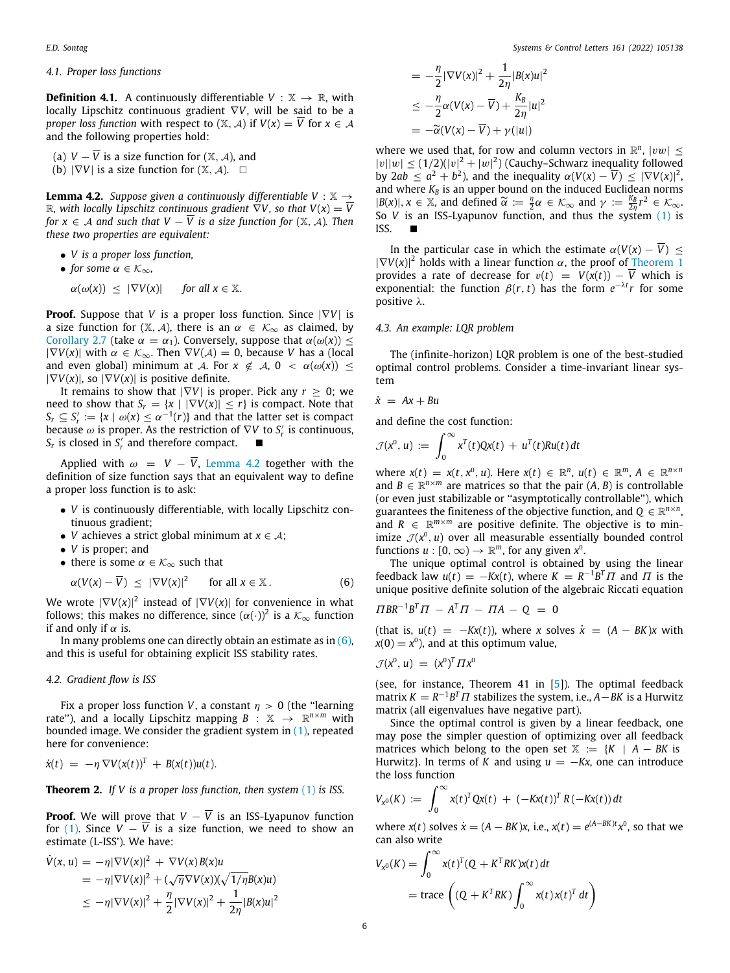#### *4.1. Proper loss functions*

**Definition 4.1.** A continuously differentiable  $V : \mathbb{X} \rightarrow \mathbb{R}$ , with locally Lipschitz continuous gradient ∇*V*, will be said to be a *proper loss function* with respect to  $(X, \mathcal{A})$  if  $V(x) = \overline{V}$  for  $x \in \mathcal{A}$ and the following properties hold:

(a)  $V - \overline{V}$  is a size function for  $(X, \mathcal{A})$ , and (b)  $|\nabla V|$  is a size function for  $(\mathbb{X}, \mathcal{A})$ . □

<span id="page-5-0"></span>**Lemma 4.2.** *Suppose given a continuously differentiable V* :  $\mathbb{X} \rightarrow$ R, with locally Lipschitz continuous gradient  $\nabla V$ , so that  $V(x) = \overline{V}$ *for*  $x \in A$  *and such that*  $V - \overline{V}$  *is a size function for*  $(X, A)$ *. Then these two properties are equivalent:*

- *V is a proper loss function,*
- *for some*  $\alpha \in \mathcal{K}_{\infty}$ *,*
- $\alpha(\omega(x)) \leq |\nabla V(x)|$  *for all*  $x \in \mathbb{X}$ .

**Proof.** Suppose that *V* is a proper loss function. Since  $|\nabla V|$  is a size function for  $(X, \mathcal{A})$ , there is an  $\alpha \in \mathcal{K}_{\infty}$  as claimed, by [Corollary](#page-2-4) [2.7](#page-2-4) (take  $\alpha = \alpha_1$ ). Conversely, suppose that  $\alpha(\omega(x)) \leq$  $|\nabla V(x)|$  with  $\alpha \in \mathcal{K}_{\infty}$ . Then  $\nabla V(A) = 0$ , because *V* has a (local and even global) minimum at A. For  $x \notin A$ ,  $0 < \alpha(\omega(x)) \le$  $|\nabla V(x)|$ , so  $|\nabla V(x)|$  is positive definite.

It remains to show that  $|\nabla V|$  is proper. Pick any  $r \geq 0$ ; we need to show that  $S_r = \{x \mid |\nabla V(x)| \leq r\}$  is compact. Note that  $S_r \subseteq S'_r := \{x \mid \omega(x) \leq \alpha^{-1}(r)\}$  and that the latter set is compact because  $\omega$  is proper. As the restriction of  $\nabla V$  to  $S'_r$  is continuous, *S*<sup>*r*</sup> is closed in *S*<sup>*r*</sup><sub>*r*</sub></sub> and therefore compact. ■

Applied with  $\omega = V - \overline{V}$ , [Lemma](#page-5-0) [4.2](#page-5-0) together with the definition of size function says that an equivalent way to define a proper loss function is to ask:

- *V* is continuously differentiable, with locally Lipschitz continuous gradient;
- *V* achieves a strict global minimum at  $x \in A$ ;
- *V* is proper; and
- there is some  $\alpha \in \mathcal{K}_{\infty}$  such that

$$
\alpha(V(x)-\overline{V}) \leq |\nabla V(x)|^2 \quad \text{for all } x \in \mathbb{X}.
$$
 (6)

We wrote  $|\nabla V(x)|^2$  instead of  $|\nabla V(x)|$  for convenience in what follows; this makes no difference, since  $(\alpha(\cdot))^2$  is a  $\mathcal{K}_\infty$  function if and only if  $\alpha$  is.

In many problems one can directly obtain an estimate as in ([6\)](#page-5-1), and this is useful for obtaining explicit ISS stability rates.

#### *4.2. Gradient flow is ISS*

Fix a proper loss function *V*, a constant  $\eta > 0$  (the "learning") rate"), and a locally Lipschitz mapping  $B$  :  $\mathbb{X} \to \mathbb{R}^{n \times m}$  with bounded image. We consider the gradient system in  $(1)$  $(1)$ , repeated here for convenience:

$$
\dot{x}(t) = -\eta \nabla V(x(t))^T + B(x(t))u(t).
$$

**Theorem 2.** *If V is a proper loss function, then system* ([1](#page-0-1)) *is ISS.*

**Proof.** We will prove that  $V - \overline{V}$  is an ISS-Lyapunov function for ([1\)](#page-0-1). Since  $V - \overline{V}$  is a size function, we need to show an estimate (L-ISS'). We have:

$$
\dot{V}(x, u) = -\eta |\nabla V(x)|^2 + \nabla V(x) B(x)u
$$
  
=  $-\eta |\nabla V(x)|^2 + (\sqrt{\eta} \nabla V(x))(\sqrt{1/\eta} B(x)u)$   
 $\leq -\eta |\nabla V(x)|^2 + \frac{\eta}{2} |\nabla V(x)|^2 + \frac{1}{2\eta} |B(x)u|^2$ 

$$
= -\frac{\eta}{2} |\nabla V(x)|^2 + \frac{1}{2\eta} |B(x)u|^2
$$
  
\n
$$
\leq -\frac{\eta}{2} \alpha (V(x) - \overline{V}) + \frac{K_B}{2\eta} |u|^2
$$
  
\n
$$
= -\widetilde{\alpha} (V(x) - \overline{V}) + \gamma (|u|)
$$

where we used that, for row and column vectors in  $\mathbb{R}^n$ ,  $|vw| \leq$  $|v||w| \leq (1/2)(|v|^2 + |w|^2)$  (Cauchy–Schwarz inequality followed by 2*ab*  $\leq a^2 + b^2$ ), and the inequality  $\alpha(V(x) - \overline{V}) \leq |\nabla V(x)|^2$ and where  $K_B$  is an upper bound on the induced Euclidean norms  $|B(x)|, x \in \mathbb{X}$ , and defined  $\tilde{\alpha} := \frac{\eta}{2}\alpha \in \mathcal{K}_{\infty}$  and  $\gamma := \frac{k_B}{2\eta}r^2 \in \mathcal{K}_{\infty}$ .<br>So *V* is an ISS-Jyanupov function, and thus the system (1) is So *V* is an ISS-Lyapunov function, and thus the system  $(1)$  $(1)$  is  $ISS$ 

In the particular case in which the estimate  $\alpha(V(x) - \overline{V}) \leq$  $|\nabla V(x)|^2$  holds with a linear function  $\alpha$ , the proof of [Theorem](#page-4-1) [1](#page-4-1) provides a rate of decrease for  $v(t) = V(x(t)) - \overline{V}$  which is exponential: the function  $\beta(r, t)$  has the form  $e^{-\lambda t}r$  for some positive λ.

#### *4.3. An example: LQR problem*

The (infinite-horizon) LQR problem is one of the best-studied optimal control problems. Consider a time-invariant linear system

$$
\dot{x} = Ax + Bu
$$

and define the cost function:

$$
\mathcal{J}(x^0, u) := \int_0^\infty x^T(t) Qx(t) + u^T(t) R u(t) dt
$$

where  $x(t) = x(t, x^0, u)$ . Here  $x(t) \in \mathbb{R}^n$ ,  $u(t) \in \mathbb{R}^m$ ,  $A \in \mathbb{R}^{n \times n}$ and  $B \in \mathbb{R}^{n \times m}$  are matrices so that the pair  $(A, B)$  is controllable (or even just stabilizable or ''asymptotically controllable''), which guarantees the finiteness of the objective function, and  $Q \in \mathbb{R}^{n \times n}$ , and  $R \in \mathbb{R}^{m \times m}$  are positive definite. The objective is to minimize  $\mathcal{J}(x^0, u)$  over all measurable essentially bounded control functions  $u : [0, \infty) \to \mathbb{R}^m$ , for any given  $x^0$ .

<span id="page-5-1"></span>The unique optimal control is obtained by using the linear feedback law  $u(t) = -Kx(t)$ , where  $K = R^{-1}B^{T} \Pi$  and  $\Pi$  is the unique positive definite solution of the algebraic Riccati equation

$$
\Pi BR^{-1}B^T\Pi - A^T\Pi - \Pi A - Q = 0
$$

(that is,  $u(t) = -Kx(t)$ ), where *x* solves  $\dot{x} = (A - BK)x$  with  $x(0) = x^0$ ), and at this optimum value,

$$
\mathcal{J}(x^0, u) = (x^0)^T \Pi x^0
$$

(see, for instance, Theorem 41 in [\[5](#page-10-5)]). The optimal feedback  $\overline{r}$  matrix  $K = R^{-1}B^{T} \Pi$  stabilizes the system, i.e.,  $A - BK$  is a Hurwitz matrix (all eigenvalues have negative part).

Since the optimal control is given by a linear feedback, one may pose the simpler question of optimizing over all feedback matrices which belong to the open set  $X := {K \mid A - BK}$  is Hurwitz}. In terms of *K* and using  $u = -Kx$ , one can introduce the loss function

$$
V_{x^0}(K) := \int_0^\infty x(t)^T Qx(t) + (-Kx(t))^T R(-Kx(t)) dt
$$

where *x*(*t*) solves  $\dot{x} = (A - BK)x$ , i.e.,  $x(t) = e^{(A - BK)t}x^0$ , so that we can also write

$$
V_{x^0}(K) = \int_0^\infty x(t)^T (Q + K^T R K) x(t) dt
$$
  
= trace  $\left( (Q + K^T R K) \int_0^\infty x(t) x(t)^T dt \right)$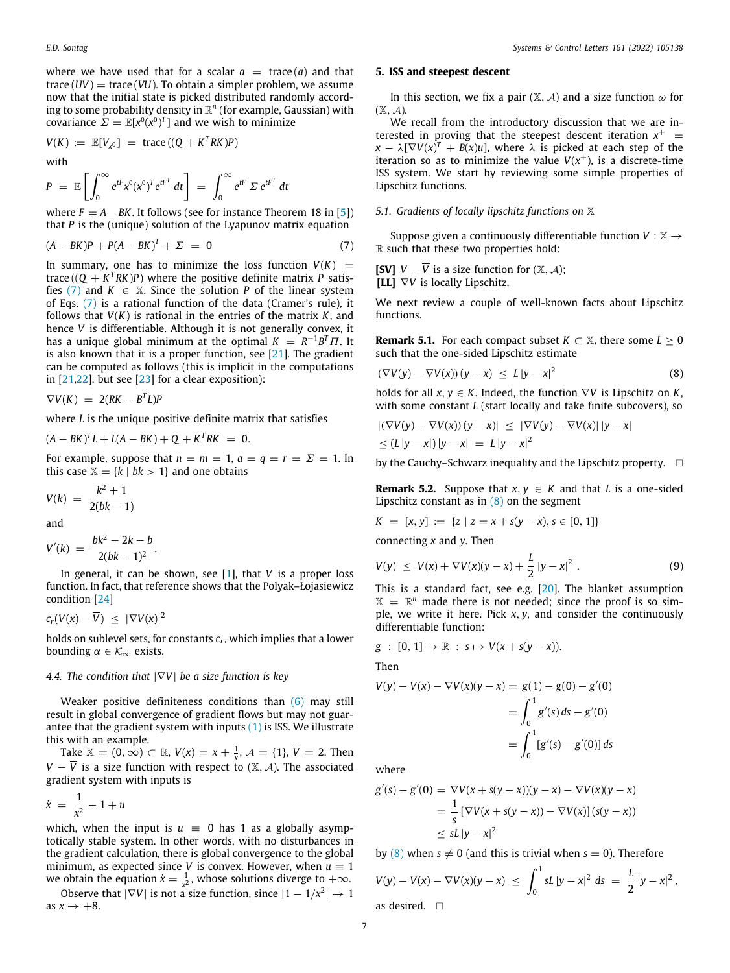where we have used that for a scalar  $a = \text{trace}(a)$  and that trace  $(UV)$  = trace  $(VU)$ . To obtain a simpler problem, we assume now that the initial state is picked distributed randomly according to some probability density in  $\mathbb{R}^n$  (for example, Gaussian) with covariance  $\Sigma = \mathbb{E}[x^0(x^0)^T]$  and we wish to minimize

$$
V(K) := \mathbb{E}[V_{\chi^0}] = \text{trace}((Q + K^T R K)P)
$$

with

$$
P = \mathbb{E}\left[\int_0^\infty e^{t^r} x^0 (x^0)^T e^{t^T} dt\right] = \int_0^\infty e^{t^r} \Sigma e^{t^T} dt
$$

where  $F = A - BK$ . It follows (see for instance Theorem 18 in [[5\]](#page-10-5)) that *P* is the (unique) solution of the Lyapunov matrix equation

$$
(A-BK)P + P(A-BK)^{T} + \Sigma = 0 \tag{7}
$$

In summary, one has to minimize the loss function  $V(K)$  = trace ( $(Q + K^T R K)P$ ) where the positive definite matrix P satis-fies ([7\)](#page-6-0) and  $K \in \mathbb{X}$ . Since the solution *P* of the linear system of Eqs. ([7\)](#page-6-0) is a rational function of the data (Cramer's rule), it follows that *V*(*K*) is rational in the entries of the matrix *K*, and hence *V* is differentiable. Although it is not generally convex, it has a unique global minimum at the optimal  $K = R^{-1}B^{T}\Pi$ . It is also known that it is a proper function, see [\[21\]](#page-10-18). The gradient can be computed as follows (this is implicit in the computations in  $[21,22]$  $[21,22]$  $[21,22]$  $[21,22]$ , but see  $[23]$  $[23]$  $[23]$  for a clear exposition):

$$
\nabla V(K) = 2(RK - B^{T}L)P
$$

where *L* is the unique positive definite matrix that satisfies

$$
(A - BK)^T L + L(A - BK) + Q + K^T R K = 0.
$$

For example, suppose that  $n = m = 1$ ,  $a = q = r = \Sigma = 1$ . In this case  $X = \{k \mid bk > 1\}$  and one obtains

$$
V(k) = \frac{k^2 + 1}{2(bk - 1)}
$$

and

$$
V'(k) = \frac{bk^2 - 2k - b}{2(bk - 1)^2}.
$$

In general, it can be shown, see [\[1](#page-10-0)], that *V* is a proper loss function. In fact, that reference shows that the Polyak–Łojasiewicz condition [[24](#page-10-21)]

$$
c_r(V(x)-\overline{V}) \leq |\nabla V(x)|^2
$$

holds on sublevel sets, for constants *c<sup>r</sup>* , which implies that a lower bounding  $\alpha \in \mathcal{K}_{\infty}$  exists.

#### *4.4. The condition that* |∇*V*| *be a size function is key*

Weaker positive definiteness conditions than [\(6](#page-5-1)) may still result in global convergence of gradient flows but may not guarantee that the gradient system with inputs  $(1)$  $(1)$  $(1)$  is ISS. We illustrate this with an example.

Take  $X = (0, ∞)$  ⊂ ℝ,  $V(x) = x + \frac{1}{x}$ ,  $A = \{1\}$ ,  $\overline{V} = 2$ . Then *V* −  $\overline{V}$  is a size function with respect to ( $\mathbb{X}, \mathcal{A}$ ). The associated gradient system with inputs is

$$
\dot{x} = \frac{1}{x^2} - 1 + u
$$

which, when the input is  $u \equiv 0$  has 1 as a globally asymptotically stable system. In other words, with no disturbances in the gradient calculation, there is global convergence to the global minimum, as expected since *V* is convex. However, when  $u \equiv 1$ we obtain the equation  $\dot{x} = \frac{1}{x^2}$ , whose solutions diverge to  $+\infty$ .

Observe that  $|\nabla V|$  is not a size function, since  $|1 - 1/x^2| \to 1$ as  $x \rightarrow +8$ .

#### **5. ISS and steepest descent**

In this section, we fix a pair  $(X, \mathcal{A})$  and a size function  $\omega$  for  $(X, \mathcal{A})$ .

We recall from the introductory discussion that we are interested in proving that the steepest descent iteration  $x^+$  =  $x - \lambda [\nabla V(x)^T + B(x)u]$ , where  $\lambda$  is picked at each step of the iteration so as to minimize the value  $V(x^{+})$ , is a discrete-time ISS system. We start by reviewing some simple properties of Lipschitz functions.

#### *5.1. Gradients of locally lipschitz functions on* X

<span id="page-6-0"></span>Suppose given a continuously differentiable function  $V : \mathbb{X} \rightarrow$  $R$  such that these two properties hold:

**[SV]**  $V - \overline{V}$  is a size function for  $(\mathbb{X}, \mathcal{A})$ ; **[LL]** ∇*V* is locally Lipschitz.

We next review a couple of well-known facts about Lipschitz functions.

**Remark 5.1.** For each compact subset  $K \subset \mathbb{X}$ , there some  $L \geq 0$ such that the one-sided Lipschitz estimate

<span id="page-6-1"></span>
$$
\left(\nabla V(y) - \nabla V(x)\right)(y - x) \leq L\left|y - x\right|^2 \tag{8}
$$

holds for all  $x, y \in K$ . Indeed, the function  $\nabla V$  is Lipschitz on *K*, with some constant *L* (start locally and take finite subcovers), so

$$
\begin{aligned} \left| \left( \nabla V(y) - \nabla V(x) \right) (y - x) \right| &\leq \left| \nabla V(y) - \nabla V(x) \right| |y - x| \\ &\leq (L \left| y - x \right|) |y - x| &= L \left| y - x \right|^2 \end{aligned}
$$

by the Cauchy–Schwarz inequality and the Lipschitz property.  $\Box$ 

**Remark 5.2.** Suppose that  $x, y \in K$  and that *L* is a one-sided Lipschitz constant as in  $(8)$  on the segment

$$
K = [x, y] := \{z \mid z = x + s(y - x), s \in [0, 1]\}
$$

connecting *x* and *y*. Then

<span id="page-6-2"></span>
$$
V(y) \leq V(x) + \nabla V(x)(y - x) + \frac{L}{2} |y - x|^2 \ . \tag{9}
$$

This is a standard fact, see e.g. [\[20\]](#page-10-17). The blanket assumption  $X = \mathbb{R}^n$  made there is not needed; since the proof is so simple, we write it here. Pick *x*, *y*, and consider the continuously differentiable function:

$$
g : [0, 1] \rightarrow \mathbb{R} : s \mapsto V(x + s(y - x)).
$$

Then

$$
V(y) - V(x) - \nabla V(x)(y - x) = g(1) - g(0) - g'(0)
$$
  
= 
$$
\int_0^1 g'(s) ds - g'(0)
$$
  
= 
$$
\int_0^1 [g'(s) - g'(0)] ds
$$

where

$$
g'(s) - g'(0) = \nabla V(x + s(y - x))(y - x) - \nabla V(x)(y - x)
$$
  
=  $\frac{1}{s} [\nabla V(x + s(y - x)) - \nabla V(x)] (s(y - x))$   
 $\leq sL |y - x|^2$ 

by ([8\)](#page-6-1) when  $s \neq 0$  (and this is trivial when  $s = 0$ ). Therefore

$$
V(y) - V(x) - \nabla V(x)(y - x) \le \int_0^1 sL |y - x|^2 ds = \frac{L}{2} |y - x|^2,
$$
as desired.  $\Box$ 

7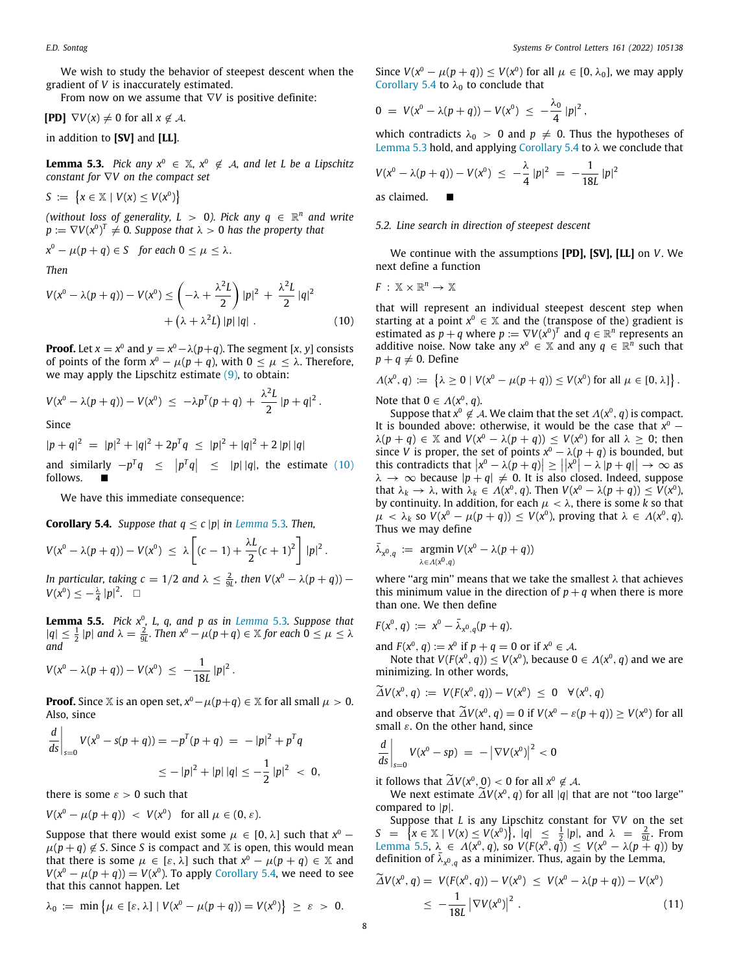We wish to study the behavior of steepest descent when the gradient of *V* is inaccurately estimated.

From now on we assume that ∇*V* is positive definite:

**[PD]**  $\nabla V(x) \neq 0$  for all  $x \notin A$ .

<span id="page-7-1"></span>in addition to **[SV]** and **[LL]**.

**Lemma 5.3.** *Pick any*  $x^0 \in \mathbb{X}$ ,  $x^0 \notin A$ , and let L be a Lipschitz *constant for* ∇*V on the compact set*

 $S := \{ x \in \mathbb{X} \mid V(x) \leq V(x^0) \}$ 

(without loss of generality,  $L > 0$ ). Pick any  $q \in \mathbb{R}^n$  and write  $p \coloneqq \nabla V(x^0)^T \neq 0$ . Suppose that  $\lambda > 0$  has the property that

$$
x^0 - \mu(p+q) \in S \quad \text{for each } 0 \le \mu \le \lambda.
$$

*Then*

$$
V(x^{0} - \lambda(p+q)) - V(x^{0}) \leq \left( -\lambda + \frac{\lambda^{2}L}{2} \right) |p|^{2} + \frac{\lambda^{2}L}{2} |q|^{2} + \left( \lambda + \lambda^{2}L \right) |p| |q| . \tag{10}
$$

**Proof.** Let  $x = x^0$  and  $y = x^0 - \lambda(p+q)$ . The segment [*x*, *y*] consists of points of the form  $x^0 - \mu(p+q)$ , with  $0 \le \mu \le \lambda$ . Therefore, we may apply the Lipschitz estimate  $(9)$ , to obtain:

$$
V(x^{0} - \lambda(p+q)) - V(x^{0}) \leq -\lambda p^{T}(p+q) + \frac{\lambda^{2}L}{2} |p+q|^{2}.
$$

Since

 $|p+q|^2 = |p|^2 + |q|^2 + 2p^Tq \leq |p|^2 + |q|^2 + 2|p||q|$ and similarly  $-p^Tq \le |p^Tq| \le |p||q|$ , the estimate [\(10\)](#page-7-0) follows. ■

We have this immediate consequence:

<span id="page-7-2"></span>**Corollary 5.4.** *Suppose that*  $q \leq c |p|$  *in [Lemma](#page-7-1)* [5.3](#page-7-1). *Then,* 

$$
V(x^{0} - \lambda(p+q)) - V(x^{0}) \leq \lambda \left[ (c-1) + \frac{\lambda L}{2} (c+1)^{2} \right] |p|^{2}.
$$

*In particular, taking c* = 1/2 *and*  $\lambda \leq \frac{2}{9L}$ , *then*  $V(x^0 - \lambda(p+q))$  –  $V(x^0) \leq -\frac{\lambda}{4} |p|^2$ .  $\Box$ 

<span id="page-7-3"></span>**Lemma 5.5.** *Pick x*<sup>0</sup> *, L, q, and p as in [Lemma](#page-7-1)* [5.3](#page-7-1)*. Suppose that*  $|q|$  ≤  $\frac{1}{2}$  |p| and  $\lambda = \frac{2}{9L}$ . Then  $x^0 - \mu(p+q) \in \mathbb{X}$  for each  $0 \leq \mu \leq \lambda$ *and*

$$
V(x^0 - \lambda(p+q)) - V(x^0) \ \leq \ -\frac{1}{18L} |p|^2 \, .
$$

**Proof.** Since  $\mathbb X$  is an open set,  $x^0 - \mu(p+q) \in \mathbb X$  for all small  $\mu > 0$ . Also, since

$$
\left. \frac{d}{ds} \right|_{s=0} V(x^0 - s(p+q)) = -p^T(p+q) = -|p|^2 + p^Tq
$$
  

$$
\leq -|p|^2 + |p||q| \leq -\frac{1}{2}|p|^2 < 0,
$$

there is some  $\varepsilon > 0$  such that

$$
V(x^0 - \mu(p+q)) < V(x^0) \quad \text{for all } \mu \in (0, \varepsilon).
$$

Suppose that there would exist some  $\mu \in [0, \lambda]$  such that  $x^0$  –  $\mu(p+q) \notin S$ . Since *S* is compact and *X* is open, this would mean that there is some  $\mu \in [\varepsilon, \lambda]$  such that  $x^0 - \mu(p+q) \in \mathbb{X}$  and  $V(x^0 - \mu(p+q)) = V(x^0)$ . To apply [Corollary](#page-7-2) [5.4](#page-7-2), we need to see that this cannot happen. Let

$$
\lambda_0 := \min \left\{ \mu \in [\varepsilon, \lambda] \mid V(x^0 - \mu(p+q)) = V(x^0) \right\} \geq \varepsilon > 0.
$$

Since  $V(x^0 - \mu(p+q)) \le V(x^0)$  for all  $\mu \in [0, \lambda_0]$ , we may apply [Corollary](#page-7-2) [5.4](#page-7-2) to  $\lambda_0$  to conclude that

$$
0 = V(x^0 - \lambda(p+q)) - V(x^0) \leq -\frac{\lambda_0}{4} |p|^2,
$$

which contradicts  $\lambda_0 > 0$  and  $p \neq 0$ . Thus the hypotheses of [Lemma](#page-7-1) [5.3](#page-7-1) hold, and applying [Corollary](#page-7-2) [5.4](#page-7-2) to  $\lambda$  we conclude that

$$
V(x^{0} - \lambda(p+q)) - V(x^{0}) \leq -\frac{\lambda}{4} |p|^{2} = -\frac{1}{18L} |p|^{2}
$$

as claimed.

#### *5.2. Line search in direction of steepest descent*

We continue with the assumptions **[PD], [SV], [LL]** on *V*. We next define a function

$$
F\,:\,\mathbb{X}\times\mathbb{R}^n\rightarrow\,\mathbb{X}
$$

<span id="page-7-0"></span>that will represent an individual steepest descent step when starting at a point  $x^0 \in \mathbb{X}$  and the (transpose of the) gradient is estimated as  $p + q$  where  $p := \nabla V(x^0)^T$  and  $q \in \mathbb{R}^n$  represents an additive noise. Now take any  $x^0 \in \mathbb{X}$  and any  $q \in \mathbb{R}^n$  such that  $p + q \neq 0$ . Define

$$
\Lambda(x^0, q) := \left\{ \lambda \geq 0 \mid V(x^0 - \mu(p+q)) \leq V(x^0) \text{ for all } \mu \in [0, \lambda] \right\}.
$$

Note that  $0 \in \Lambda(x^0, q)$ .

Suppose that  $x^0 \notin A$ . We claim that the set  $\Lambda(x^0, q)$  is compact. It is bounded above: otherwise, it would be the case that  $x^0$  –  $\lambda(p+q) \in \mathbb{X}$  and  $V(x^0 - \lambda(p+q)) \leq V(x^0)$  for all  $\lambda \geq 0$ ; then since *V* is proper, the set of points  $x^0 - \lambda(p+q)$  is bounded, but this contradicts that  $|x^0 - \lambda (p + q)| \ge ||x^0| - \lambda |p + q|| \to \infty$  as  $\lambda \rightarrow \infty$  because  $|p+q| \neq 0$ . It is also closed. Indeed, suppose that  $\lambda_k \to \lambda$ , with  $\lambda_k \in \Lambda(x^0, q)$ . Then  $V(x^0 - \lambda(p+q)) \leq V(x^0)$ , by continuity. In addition, for each  $\mu < \lambda$ , there is some *k* so that  $\mu \prec \lambda_k$  so  $V(x^0 - \mu(p+q)) \leq V(x^0)$ , proving that  $\lambda \in \Lambda(x^0, q)$ . Thus we may define

$$
\bar{\lambda}_{x^0,q} := \underset{\lambda \in \Lambda(x^0,q)}{\operatorname{argmin}} V(x^0 - \lambda(p+q))
$$

where "arg min" means that we take the smallest  $\lambda$  that achieves this minimum value in the direction of  $p + q$  when there is more than one. We then define

$$
F(x^0, q) := x^0 - \bar{\lambda}_{x^0, q}(p+q).
$$

and  $F(x^0, q) := x^0$  if  $p + q = 0$  or if  $x^0 \in A$ .

Note that  $V(F(x^0, q)) \leq V(x^0)$ , because  $0 \in \Lambda(x^0, q)$  and we are minimizing. In other words,

$$
\widetilde{\Delta}V(x^0, q) := V(F(x^0, q)) - V(x^0) \leq 0 \quad \forall (x^0, q)
$$

and observe that  $\widetilde{\Delta}V(x^0, q) = 0$  if  $V(x^0 - \varepsilon(p+q)) \ge V(x^0)$  for all small  $\circ$  On the other hand since small  $\varepsilon$ . On the other hand, since

$$
\left. \frac{d}{ds} \right|_{s=0} V(x^0 - sp) = - \left| \nabla V(x^0) \right|^2 < 0
$$

it follows that  $\widetilde{\Delta}V(x^0, 0) < 0$  for all  $x^0 \notin \mathcal{A}$ .<br>
We next estimate  $\widetilde{\Delta}V(x^0, a)$  for all let the

We next estimate  $\widetilde{\Delta}V(x^0, q)$  for all  $|q|$  that are not "too large" compared to |*p*|.

Suppose that *L* is any Lipschitz constant for ∇*V* on the set  $S = \left\{ x \in \mathbb{X} \mid V(x) \leq V(x^0) \right\}, |q| \leq \frac{1}{2} |p|$ , and  $\lambda = \frac{2}{9L}$ . From [Lemma](#page-7-3) [5.5,](#page-7-3) λ ∈  $Λ(x^0, q)$ , so  $V(F(x^0, q)) ≤ V(x^0 - λ(p+q))$  by definition of  $\bar{\lambda}_{x^0,q}$  as a minimizer. Thus, again by the Lemma,

<span id="page-7-4"></span>
$$
\widetilde{\Delta}V(x^{0}, q) = V(F(x^{0}, q)) - V(x^{0}) \le V(x^{0} - \lambda(p+q)) - V(x^{0})
$$
  

$$
\le -\frac{1}{18L} |\nabla V(x^{0})|^{2} .
$$
 (11)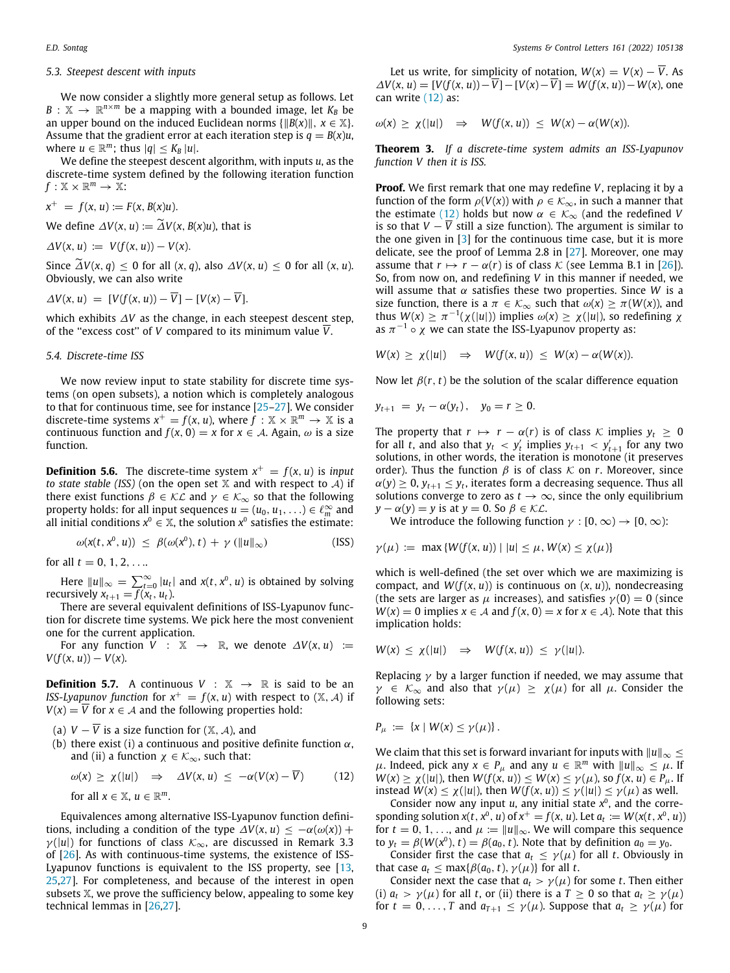#### *5.3. Steepest descent with inputs*

We now consider a slightly more general setup as follows. Let  $B: \mathbb{X} \to \mathbb{R}^{n \times m}$  be a mapping with a bounded image, let  $K_B$  be an upper bound on the induced Euclidean norms  $\{||B(x)||, x \in \mathbb{X}\}.$ Assume that the gradient error at each iteration step is  $q = B(x)u$ , where  $u \in \mathbb{R}^m$ ; thus  $|q| \leq K_B |u|$ .

We define the steepest descent algorithm, with inputs *u*, as the discrete-time system defined by the following iteration function  $f: \mathbb{X} \times \mathbb{R}^m \to \mathbb{X}$ :

$$
x^+ = f(x, u) := F(x, B(x)u).
$$

We define  $\Delta V(x, u) := \tilde{\Delta} V(x, B(x)u)$ , that is

$$
\Delta V(x, u) := V(f(x, u)) - V(x).
$$

Since  $\widetilde{\Delta}V(x, q) < 0$  for all  $(x, q)$ , also  $\Delta V(x, u) < 0$  for all  $(x, u)$ . Obviously, we can also write

$$
\Delta V(x, u) = [V(f(x, u)) - \overline{V}] - [V(x) - \overline{V}].
$$

which exhibits ∆*V* as the change, in each steepest descent step, of the "excess cost" of *V* compared to its minimum value  $\overline{V}$ .

#### *5.4. Discrete-time ISS*

We now review input to state stability for discrete time systems (on open subsets), a notion which is completely analogous to that for continuous time, see for instance [[25](#page-10-22)[–27\]](#page-10-23). We consider discrete-time systems  $x^+ = f(x, u)$ , where  $\hat{f}: \mathbb{X} \times \mathbb{R}^m \to \mathbb{X}$  is a continuous function and  $f(x, 0) = x$  for  $x \in A$ . Again,  $\omega$  is a size function.

**Definition 5.6.** The discrete-time system  $x^+ = f(x, u)$  is *input to state stable (ISS)* (on the open set  $X$  and with respect to  $A$ ) if there exist functions  $\beta \in \mathcal{KL}$  and  $\gamma \in \mathcal{K}_{\infty}$  so that the following property holds: for all input sequences  $u = (u_0, u_1, \ldots) \in \ell_m^{\infty}$  and all initial conditions  $x^0 \in \mathbb{X}$ , the solution  $x^0$  satisfies the estimate:

$$
\omega(x(t, x^0, u)) \leq \beta(\omega(x^0), t) + \gamma(\|u\|_{\infty})
$$
 (ISS)

for all  $t = 0, 1, 2, ...$ 

Here  $||u||_{\infty} = \sum_{t=0}^{\infty} |u_t|$  and  $x(t, x^0, u)$  is obtained by solving recursively  $x_{t+1} = \overline{f}(x_t, u_t)$ .

There are several equivalent definitions of ISS-Lyapunov function for discrete time systems. We pick here the most convenient one for the current application.

For any function *V* :  $\mathbb{X} \rightarrow \mathbb{R}$ , we denote  $\Delta V(x, u) :=$  $V(f(x, u)) - V(x)$ .

**Definition 5.7.** A continuous  $V : \mathbb{X} \rightarrow \mathbb{R}$  is said to be an *ISS-Lyapunov function* for  $x^+ = f(x, u)$  with respect to  $(X, \mathcal{A})$  if *V*(*x*) =  $\overline{V}$  for *x*  $\in$  *A* and the following properties hold:

- (a)  $V \overline{V}$  is a size function for  $(X, \mathcal{A})$ , and
- (b) there exist (i) a continuous and positive definite function  $\alpha$ , and (ii) a function  $\chi \in \mathcal{K}_{\infty}$ , such that:

$$
\omega(x) \ge \chi(|u|) \quad \Rightarrow \quad \Delta V(x, u) \le -\alpha (V(x) - \overline{V}) \tag{12}
$$

for all 
$$
x \in \mathbb{X}
$$
,  $u \in \mathbb{R}^m$ .

Equivalences among alternative ISS-Lyapunov function definitions, including a condition of the type  $\Delta V(x, u) < -\alpha(\omega(x))$  +  $\gamma(|u|)$  for functions of class  $\mathcal{K}_{\infty}$ , are discussed in Remark 3.3 of [[26](#page-10-24)]. As with continuous-time systems, the existence of ISS-Lyapunov functions is equivalent to the ISS property, see [\[13,](#page-10-10) [25](#page-10-22)[,27\]](#page-10-23). For completeness, and because of the interest in open subsets  $X$ , we prove the sufficiency below, appealing to some key technical lemmas in [\[26,](#page-10-24)[27](#page-10-23)].

Let us write, for simplicity of notation,  $W(x) = V(x) - \overline{V}$ . As  $\Delta V(x, u) = [V(f(x, u)) - \overline{V}] - [V(x) - \overline{V}] = W(f(x, u)) - W(x)$ , one can write ([12\)](#page-8-0) as:

$$
\omega(x) \geq \chi(|u|) \Rightarrow W(f(x, u)) \leq W(x) - \alpha(W(x)).
$$

**Theorem 3.** *If a discrete-time system admits an ISS-Lyapunov function V then it is ISS.*

**Proof.** We first remark that one may redefine *V*, replacing it by a function of the form  $\rho(V(x))$  with  $\rho \in \mathcal{K}_{\infty}$ , in such a manner that the estimate ( $\underline{12}$  $\underline{12}$  $\underline{12}$ ) holds but now  $\alpha \in \mathcal{K}_{\infty}$  (and the redefined *V* is so that *V* −  $\overline{V}$  still a size function). The argument is similar to the one given in [\[3](#page-10-2)] for the continuous time case, but it is more delicate, see the proof of Lemma 2.8 in [[27](#page-10-23)]. Moreover, one may assume that  $r \mapsto r - \alpha(r)$  is of class K (see Lemma B.1 in [\[26\]](#page-10-24)). So, from now on, and redefining *V* in this manner if needed, we will assume that  $\alpha$  satisfies these two properties. Since *W* is a size function, there is a  $\pi \in \mathcal{K}_{\infty}$  such that  $\omega(x) \geq \pi(W(x))$ , and thus  $W(x) \ge \pi^{-1}(\chi(|u|))$  implies  $\omega(x) \ge \chi(|u|)$ , so redefining  $\chi$ as  $\pi^{-1} \circ \chi$  we can state the ISS-Lyapunov property as:

$$
W(x) \ge \chi(|u|) \Rightarrow W(f(x, u)) \le W(x) - \alpha(W(x)).
$$

Now let  $\beta(r, t)$  be the solution of the scalar difference equation

$$
y_{t+1} = y_t - \alpha(y_t), \quad y_0 = r \ge 0.
$$

The property that  $r \mapsto r - \alpha(r)$  is of class K implies  $y_t \geq 0$ for all *t*, and also that  $y_t < y'_t$  implies  $y_{t+1} < y'_{t+1}$  for any two solutions, in other words, the iteration is monotone (it preserves order). Thus the function  $\beta$  is of class  $\kappa$  on *r*. Moreover, since  $\alpha(y) \geq 0$ ,  $y_{t+1} \leq y_t$ , iterates form a decreasing sequence. Thus all solutions converge to zero as  $t \to \infty$ , since the only equilibrium  $y - \alpha(y) = y$  is at  $y = 0$ . So  $\beta \in \mathcal{KL}$ .

We introduce the following function  $\gamma : [0, \infty) \to [0, \infty)$ :

$$
\gamma(\mu) := \max \{ W(f(x, u)) | |u| \le \mu, W(x) \le \chi(\mu) \}
$$

which is well-defined (the set over which we are maximizing is compact, and  $W(f(x, u))$  is continuous on  $(x, u)$ ), nondecreasing (the sets are larger as  $\mu$  increases), and satisfies  $\gamma(0) = 0$  (since  $W(x) = 0$  implies  $x \in A$  and  $f(x, 0) = x$  for  $x \in A$ ). Note that this implication holds:

$$
W(x) \leq \chi(|u|) \Rightarrow W(f(x,u)) \leq \gamma(|u|).
$$

Replacing  $\gamma$  by a larger function if needed, we may assume that  $\gamma \in \mathcal{K}_{\infty}$  and also that  $\gamma(\mu) \geq \chi(\mu)$  for all  $\mu$ . Consider the following sets:

$$
P_{\mu} := \{x \mid W(x) \leq \gamma(\mu)\}.
$$

<span id="page-8-0"></span>We claim that this set is forward invariant for inputs with ∥*u*∥<sup>∞</sup> ≤  $\mu$ . Indeed, pick any *x* ∈ *P*<sub>μ</sub> and any *u* ∈ ℝ<sup>*m*</sup> with  $||u||_{\infty}$  ≤  $\mu$ . If  $W(x) \ge \chi(|u|)$ , then  $W(f(x, u)) \le W(x) \le \gamma(\mu)$ , so  $f(x, u) \in P_{\mu}$ . If instead  $W(x) \leq \chi(|u|)$ , then  $W(f(x, u)) \leq \gamma(|u|) \leq \gamma(\mu)$  as well.

Consider now any input  $u$ , any initial state  $x^0$ , and the corresponding solution  $x(t, x^0, u)$  of  $x^+ = f(x, u)$ . Let  $a_t := W(x(t, x^0, u))$ for  $t = 0, 1, \ldots$ , and  $\mu := ||u||_{\infty}$ . We will compare this sequence to  $y_t = \beta(W(x^0), t) = \beta(a_0, t)$ . Note that by definition  $a_0 = y_0$ .

Consider first the case that  $a_t \leq \gamma(\mu)$  for all *t*. Obviously in that case  $a_t \leq \max\{\beta(a_0, t), \gamma(\mu)\}$  for all *t*.

Consider next the case that  $a_t > \gamma(\mu)$  for some *t*. Then either (i)  $a_t > \gamma(\mu)$  for all *t*, or (ii) there is a  $T \ge 0$  so that  $a_t \ge \gamma(\mu)$ for  $t = 0, \ldots, T$  and  $a_{T+1} \leq \gamma(\mu)$ . Suppose that  $a_t \geq \gamma(\mu)$  for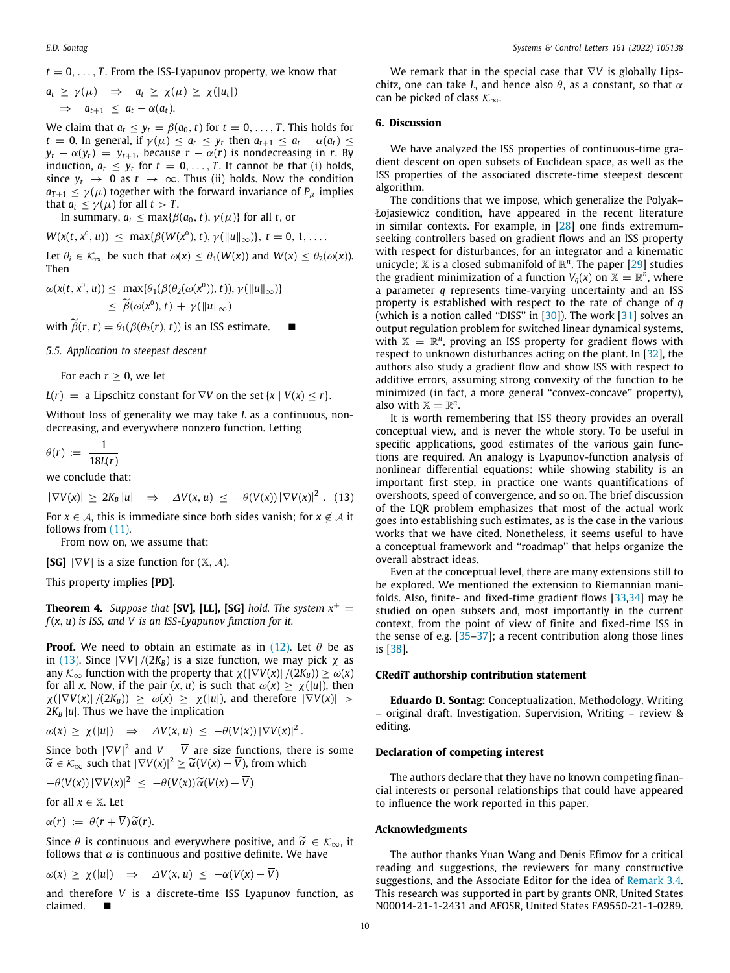$t = 0, \ldots, T$ . From the ISS-Lyapunov property, we know that

$$
a_t \geq \gamma(\mu) \Rightarrow a_t \geq \chi(\mu) \geq \chi(|u_t|)
$$
  
\n
$$
\Rightarrow a_{t+1} \leq a_t - \alpha(a_t).
$$

We claim that  $a_t \leq y_t = \beta(a_0, t)$  for  $t = 0, \ldots, T$ . This holds for *t* = 0. In general, if  $\gamma(\mu) \leq a_t \leq y_t$  then  $a_{t+1} \leq a_t - \alpha(a_t) \leq t$  $y_t - \alpha(y_t) = y_{t+1}$ , because  $r - \alpha(r)$  is nondecreasing in *r*. By induction,  $a_t \leq y_t$  for  $t = 0, \ldots, T$ . It cannot be that (i) holds, since  $y_t \rightarrow 0$  as  $t \rightarrow \infty$ . Thus (ii) holds. Now the condition  $a_{T+1} \leq \gamma(\mu)$  together with the forward invariance of  $P_{\mu}$  implies that  $a_t \leq \gamma(\mu)$  for all  $t > T$ .

In summary,  $a_t \leq \max\{\beta(a_0, t), \gamma(\mu)\}\$ for all *t*, or

 $W(x(t, x^0, u)) \leq \max\{\beta(W(x^0), t), \gamma(\|u\|_{\infty})\}, t = 0, 1, \ldots$ 

Let  $\theta_i \in \mathcal{K}_{\infty}$  be such that  $\omega(x) \leq \theta_1(W(x))$  and  $W(x) \leq \theta_2(\omega(x))$ . Then

$$
\omega(x(t, x^0, u)) \leq \max{\lbrace \theta_1(\beta(\theta_2(\omega(x^0)), t)), \gamma(\Vert u \Vert_{\infty}) \rbrace}
$$
  
 
$$
\leq \widetilde{\beta}(\omega(x^0), t) + \gamma(\Vert u \Vert_{\infty})
$$

with  $\widetilde{\beta}(r, t) = \theta_1(\beta(\theta_2(r), t))$  is an ISS estimate.

*5.5. Application to steepest descent*

For each  $r > 0$ , we let

 $L(r) = a$  Lipschitz constant for  $\nabla V$  on the set  $\{x \mid V(x) \le r\}.$ 

Without loss of generality we may take *L* as a continuous, nondecreasing, and everywhere nonzero function. Letting

 $\theta(r) := \frac{1}{10r}$ 18*L*(*r*)

we conclude that:

 $|\nabla V(x)| \ge 2K_B |u| \Rightarrow \Delta V(x, u) \le -\theta(V(x)) |\nabla V(x)|^2$ . (13)

For  $x \in A$ , this is immediate since both sides vanish; for  $x \notin A$  it follows from  $(11)$  $(11)$  $(11)$ .

From now on, we assume that:

**[SG]**  $|\nabla V|$  is a size function for  $(\mathbb{X}, \mathcal{A})$ .

This property implies **[PD]**.

**Theorem 4.** *Suppose that* **[SV], [LL], [SG]** *hold. The system*  $x^+$  = *f* (*x*, *u*) *is ISS, and V is an ISS-Lyapunov function for it.*

**Proof.** We need to obtain an estimate as in  $(12)$  $(12)$  $(12)$ . Let  $\theta$  be as in ([13](#page-9-0)). Since  $|\nabla V|/(2K_B)$  is a size function, we may pick  $\chi$  as any  $\mathcal{K}_{\infty}$  function with the property that  $\chi(|\nabla V(x)|/(2K_B)) \geq \omega(x)$ for all *x*. Now, if the pair  $(x, u)$  is such that  $\omega(x) \geq \chi(|u|)$ , then  $\chi(|\nabla V(x)|/(2K_B)) \geq \omega(x) \geq \chi(|u|)$ , and therefore  $|\nabla V(x)| >$  $2K_B |u|$ . Thus we have the implication

 $\omega(x) \ge \chi(|u|) \Rightarrow \Delta V(x, u) \le -\theta(V(x)) |\nabla V(x)|^2$ .

Since both  $|\nabla V|^2$  and  $V - \overline{V}$  are size functions, there is some  $\widetilde{\alpha} \in \mathcal{K}_{\infty}$  such that  $|\nabla V(x)|^2 \geq \widetilde{\alpha}(V(x) - \overline{V})$ , from which

$$
-\theta(V(x))|\nabla V(x)|^2 \leq -\theta(V(x))\widetilde{\alpha}(V(x)-\overline{V})
$$

for all  $x \in \mathbb{X}$ . Let

 $\alpha(r) := \theta(r + \overline{V}) \widetilde{\alpha}(r).$ 

Since  $\theta$  is continuous and everywhere positive, and  $\widetilde{\alpha} \in \mathcal{K}_{\infty}$ , it follows that  $\alpha$  is continuous and positive definite. We have

 $\omega(x) \ge \chi(|u|) \Rightarrow \Delta V(x, u) \le -\alpha(V(x) - \overline{V})$ 

and therefore *V* is a discrete-time ISS Lyapunov function, as  $claimed$ 

We remark that in the special case that ∇*V* is globally Lipschitz, one can take *L*, and hence also  $\theta$ , as a constant, so that  $\alpha$ can be picked of class  $\mathcal{K}_{\infty}$ .

### **6. Discussion**

We have analyzed the ISS properties of continuous-time gradient descent on open subsets of Euclidean space, as well as the ISS properties of the associated discrete-time steepest descent algorithm.

The conditions that we impose, which generalize the Polyak– Łojasiewicz condition, have appeared in the recent literature in similar contexts. For example, in  $[28]$  $[28]$  $[28]$  one finds extremumseeking controllers based on gradient flows and an ISS property with respect for disturbances, for an integrator and a kinematic unicycle;  $X$  is a closed submanifold of  $\mathbb{R}^n$ . The paper [\[29\]](#page-10-26) studies the gradient minimization of a function  $V_q(x)$  on  $\mathbb{X} = \mathbb{R}^n$ , where a parameter *q* represents time-varying uncertainty and an ISS property is established with respect to the rate of change of *q* (which is a notion called "DISS" in [[30\]](#page-10-27)). The work [\[31\]](#page-10-28) solves an output regulation problem for switched linear dynamical systems, with  $X = \mathbb{R}^n$ , proving an ISS property for gradient flows with respect to unknown disturbances acting on the plant. In [\[32\]](#page-10-29), the authors also study a gradient flow and show ISS with respect to additive errors, assuming strong convexity of the function to be minimized (in fact, a more general ''convex-concave'' property), also with  $\mathbb{X} = \mathbb{R}^n$ .

<span id="page-9-0"></span>It is worth remembering that ISS theory provides an overall conceptual view, and is never the whole story. To be useful in specific applications, good estimates of the various gain functions are required. An analogy is Lyapunov-function analysis of nonlinear differential equations: while showing stability is an important first step, in practice one wants quantifications of overshoots, speed of convergence, and so on. The brief discussion of the LQR problem emphasizes that most of the actual work goes into establishing such estimates, as is the case in the various works that we have cited. Nonetheless, it seems useful to have a conceptual framework and ''roadmap'' that helps organize the overall abstract ideas.

Even at the conceptual level, there are many extensions still to be explored. We mentioned the extension to Riemannian manifolds. Also, finite- and fixed-time gradient flows [\[33](#page-10-30)[,34\]](#page-10-31) may be studied on open subsets and, most importantly in the current context, from the point of view of finite and fixed-time ISS in the sense of e.g. [[35](#page-10-32)[–37\]](#page-10-33); a recent contribution along those lines is [[38](#page-10-34)].

#### **CRediT authorship contribution statement**

**Eduardo D. Sontag:** Conceptualization, Methodology, Writing – original draft, Investigation, Supervision, Writing – review & editing.

#### **Declaration of competing interest**

The authors declare that they have no known competing financial interests or personal relationships that could have appeared to influence the work reported in this paper.

#### **Acknowledgments**

The author thanks Yuan Wang and Denis Efimov for a critical reading and suggestions, the reviewers for many constructive suggestions, and the Associate Editor for the idea of [Remark](#page-4-2) [3.4.](#page-4-2) This research was supported in part by grants ONR, United States N00014-21-1-2431 and AFOSR, United States FA9550-21-1-0289.